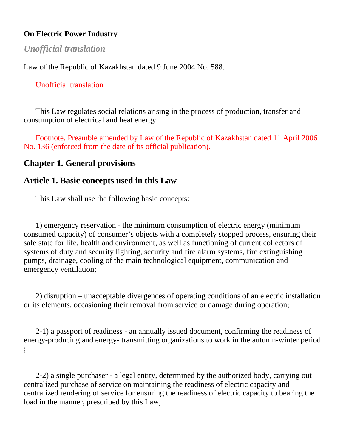### **On Electric Power Industry**

# *Unofficial translation*

Law of the Republic of Kazakhstan dated 9 June 2004 No. 588.

## Unofficial translation

 This Law regulates social relations arising in the process of production, transfer and consumption of electrical and heat energy.

 Footnote. Preamble amended by Law of the Republic of Kazakhstan dated 11 April 2006 No. 136 (enforced from the date of its official publication).

## **Chapter 1. General provisions**

## **Article 1. Basic concepts used in this Law**

This Law shall use the following basic concepts:

 1) emergency reservation - the minimum consumption of electric energy (minimum consumed capacity) of consumer's objects with a completely stopped process, ensuring their safe state for life, health and environment, as well as functioning of current collectors of systems of duty and security lighting, security and fire alarm systems, fire extinguishing pumps, drainage, cooling of the main technological equipment, communication and emergency ventilation;

 2) disruption – unacceptable divergences of operating conditions of an electric installation or its elements, occasioning their removal from service or damage during operation;

 2-1) a passport of readiness - an annually issued document, confirming the readiness of energy-producing and energy- transmitting organizations to work in the autumn-winter period ;

 2-2) a single purchaser - a legal entity, determined by the authorized body, carrying out centralized purchase of service on maintaining the readiness of electric capacity and centralized rendering of service for ensuring the readiness of electric capacity to bearing the load in the manner, prescribed by this Law;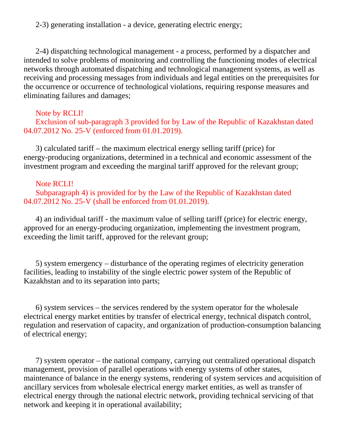2-3) generating installation - a device, generating electric energy;

 2-4) dispatching technological management - a process, performed by a dispatcher and intended to solve problems of monitoring and controlling the functioning modes of electrical networks through automated dispatching and technological management systems, as well as receiving and processing messages from individuals and legal entities on the prerequisites for the occurrence or occurrence of technological violations, requiring response measures and eliminating failures and damages;

### Note by RCLI!

 Exclusion of sub-paragraph 3 provided for by Law of the Republic of Kazakhstan dated 04.07.2012 No. 25-V (enforced from 01.01.2019).

 3) calculated tariff – the maximum electrical energy selling tariff (price) for energy-producing organizations, determined in a technical and economic assessment of the investment program and exceeding the marginal tariff approved for the relevant group;

### Note RCLI!

 Subparagraph 4) is provided for by the Law of the Republic of Kazakhstan dated 04.07.2012 No. 25-V (shall be enforced from 01.01.2019).

 4) an individual tariff - the maximum value of selling tariff (price) for electric energy, approved for an energy-producing organization, implementing the investment program, exceeding the limit tariff, approved for the relevant group;

 5) system emergency – disturbance of the operating regimes of electricity generation facilities, leading to instability of the single electric power system of the Republic of Kazakhstan and to its separation into parts;

 6) system services – the services rendered by the system operator for the wholesale electrical energy market entities by transfer of electrical energy, technical dispatch control, regulation and reservation of capacity, and organization of production-consumption balancing of electrical energy;

 7) system operator – the national company, carrying out centralized operational dispatch management, provision of parallel operations with energy systems of other states, maintenance of balance in the energy systems, rendering of system services and acquisition of ancillary services from wholesale electrical energy market entities, as well as transfer of electrical energy through the national electric network, providing technical servicing of that network and keeping it in operational availability;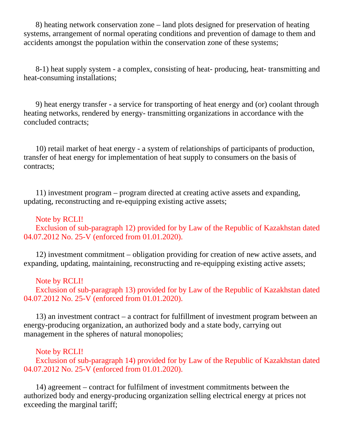8) heating network conservation zone – land plots designed for preservation of heating systems, arrangement of normal operating conditions and prevention of damage to them and accidents amongst the population within the conservation zone of these systems;

 8-1) heat supply system - a complex, consisting of heat- producing, heat- transmitting and heat-consuming installations;

 9) heat energy transfer - a service for transporting of heat energy and (or) coolant through heating networks, rendered by energy- transmitting organizations in accordance with the concluded contracts;

 10) retail market of heat energy - a system of relationships of participants of production, transfer of heat energy for implementation of heat supply to consumers on the basis of contracts;

 11) investment program – program directed at creating active assets and expanding, updating, reconstructing and re-equipping existing active assets;

### Note by RCLI!

 Exclusion of sub-paragraph 12) provided for by Law of the Republic of Kazakhstan dated 04.07.2012 No. 25-V (enforced from 01.01.2020).

 12) investment commitment – obligation providing for creation of new active assets, and expanding, updating, maintaining, reconstructing and re-equipping existing active assets;

### Note by RCLI!

 Exclusion of sub-paragraph 13) provided for by Law of the Republic of Kazakhstan dated 04.07.2012 No. 25-V (enforced from 01.01.2020).

 13) an investment contract – a contract for fulfillment of investment program between an energy-producing organization, an authorized body and a state body, carrying out management in the spheres of natural monopolies;

### Note by RCLI!

 Exclusion of sub-paragraph 14) provided for by Law of the Republic of Kazakhstan dated 04.07.2012 No. 25-V (enforced from 01.01.2020).

 14) agreement – contract for fulfilment of investment commitments between the authorized body and energy-producing organization selling electrical energy at prices not exceeding the marginal tariff;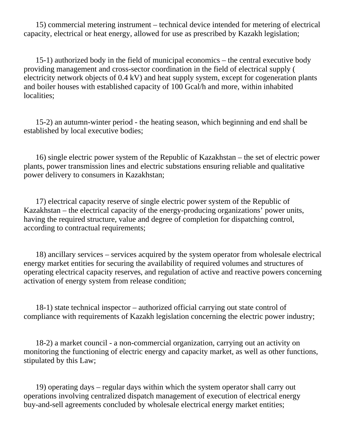15) commercial metering instrument – technical device intended for metering of electrical capacity, electrical or heat energy, allowed for use as prescribed by Kazakh legislation;

 15-1) authorized body in the field of municipal economics – the central executive body providing management and cross-sector coordination in the field of electrical supply ( electricity network objects of 0.4 kV) and heat supply system, except for cogeneration plants and boiler houses with established capacity of 100 Gcal/h and more, within inhabited localities;

 15-2) an autumn-winter period - the heating season, which beginning and end shall be established by local executive bodies;

 16) single electric power system of the Republic of Kazakhstan – the set of electric power plants, power transmission lines and electric substations ensuring reliable and qualitative power delivery to consumers in Kazakhstan;

 17) electrical capacity reserve of single electric power system of the Republic of Kazakhstan – the electrical capacity of the energy-producing organizations' power units, having the required structure, value and degree of completion for dispatching control, according to contractual requirements;

 18) ancillary services – services acquired by the system operator from wholesale electrical energy market entities for securing the availability of required volumes and structures of operating electrical capacity reserves, and regulation of active and reactive powers concerning activation of energy system from release condition;

 18-1) state technical inspector – authorized official carrying out state control of compliance with requirements of Kazakh legislation concerning the electric power industry;

 18-2) a market council - a non-commercial organization, carrying out an activity on monitoring the functioning of electric energy and capacity market, as well as other functions, stipulated by this Law;

 19) operating days – regular days within which the system operator shall carry out operations involving centralized dispatch management of execution of electrical energy buy-and-sell agreements concluded by wholesale electrical energy market entities;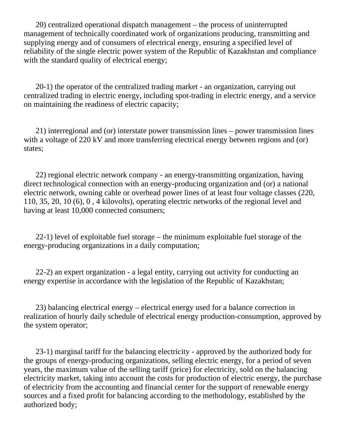20) centralized operational dispatch management – the process of uninterrupted management of technically coordinated work of organizations producing, transmitting and supplying energy and of consumers of electrical energy, ensuring a specified level of reliability of the single electric power system of the Republic of Kazakhstan and compliance with the standard quality of electrical energy;

 20-1) the operator of the centralized trading market - an organization, carrying out centralized trading in electric energy, including spot-trading in electric energy, and a service on maintaining the readiness of electric capacity;

 21) interregional and (or) interstate power transmission lines – power transmission lines with a voltage of 220 kV and more transferring electrical energy between regions and (or) states;

 22) regional electric network company - an energy-transmitting organization, having direct technological connection with an energy-producing organization and (or) a national electric network, owning cable or overhead power lines of at least four voltage classes (220, 110, 35, 20, 10 (6), 0 , 4 kilovolts), operating electric networks of the regional level and having at least 10,000 connected consumers;

 22-1) level of exploitable fuel storage – the minimum exploitable fuel storage of the energy-producing organizations in a daily computation;

 22-2) an expert organization - a legal entity, carrying out activity for conducting an energy expertise in accordance with the legislation of the Republic of Kazakhstan;

 23) balancing electrical energy – electrical energy used for a balance correction in realization of hourly daily schedule of electrical energy production-consumption, approved by the system operator;

 23-1) marginal tariff for the balancing electricity - approved by the authorized body for the groups of energy-producing organizations, selling electric energy, for a period of seven years, the maximum value of the selling tariff (price) for electricity, sold on the balancing electricity market, taking into account the costs for production of electric energy, the purchase of electricity from the accounting and financial center for the support of renewable energy sources and a fixed profit for balancing according to the methodology, established by the authorized body;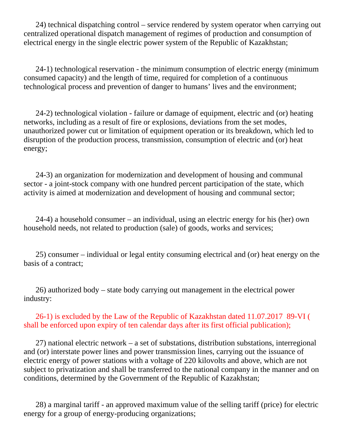24) technical dispatching control – service rendered by system operator when carrying out centralized operational dispatch management of regimes of production and consumption of electrical energy in the single electric power system of the Republic of Kazakhstan;

 24-1) technological reservation - the minimum consumption of electric energy (minimum consumed capacity) and the length of time, required for completion of a continuous technological process and prevention of danger to humans' lives and the environment;

 24-2) technological violation - failure or damage of equipment, electric and (or) heating networks, including as a result of fire or explosions, deviations from the set modes, unauthorized power cut or limitation of equipment operation or its breakdown, which led to disruption of the production process, transmission, consumption of electric and (or) heat energy;

 24-3) an organization for modernization and development of housing and communal sector - a joint-stock company with one hundred percent participation of the state, which activity is aimed at modernization and development of housing and communal sector;

 24-4) a household consumer – an individual, using an electric energy for his (her) own household needs, not related to production (sale) of goods, works and services;

 25) consumer – individual or legal entity consuming electrical and (or) heat energy on the basis of a contract;

 26) authorized body – state body carrying out management in the electrical power industry:

 26-1) is excluded by the Law of the Republic of Kazakhstan dated 11.07.2017 89-VI ( shall be enforced upon expiry of ten calendar days after its first official publication);

 27) national electric network – a set of substations, distribution substations, interregional and (or) interstate power lines and power transmission lines, carrying out the issuance of electric energy of power stations with a voltage of 220 kilovolts and above, which are not subject to privatization and shall be transferred to the national company in the manner and on conditions, determined by the Government of the Republic of Kazakhstan;

 28) a marginal tariff - an approved maximum value of the selling tariff (price) for electric energy for a group of energy-producing organizations;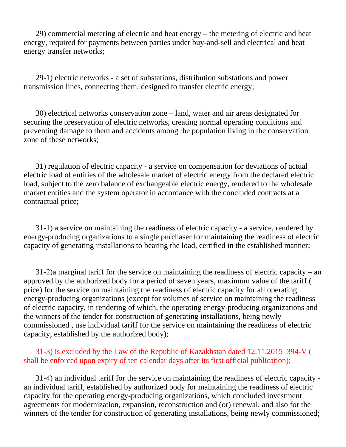29) commercial metering of electric and heat energy – the metering of electric and heat energy, required for payments between parties under buy-and-sell and electrical and heat energy transfer networks;

 29-1) electric networks - a set of substations, distribution substations and power transmission lines, connecting them, designed to transfer electric energy;

 30) electrical networks conservation zone – land, water and air areas designated for securing the preservation of electric networks, creating normal operating conditions and preventing damage to them and accidents among the population living in the conservation zone of these networks;

 31) regulation of electric capacity - a service on compensation for deviations of actual electric load of entities of the wholesale market of electric energy from the declared electric load, subject to the zero balance of exchangeable electric energy, rendered to the wholesale market entities and the system operator in accordance with the concluded contracts at a contractual price;

 31-1) a service on maintaining the readiness of electric capacity - a service, rendered by energy-producing organizations to a single purchaser for maintaining the readiness of electric capacity of generating installations to bearing the load, certified in the established manner;

 31-2)a marginal tariff for the service on maintaining the readiness of electric capacity – an approved by the authorized body for a period of seven years, maximum value of the tariff ( price) for the service on maintaining the readiness of electric capacity for all operating energy-producing organizations (except for volumes of service on maintaining the readiness of electric capacity, in rendering of which, the operating energy-producing organizations and the winners of the tender for construction of generating installations, being newly commissioned , use individual tariff for the service on maintaining the readiness of electric capacity, established by the authorized body);

### 31-3) is excluded by the Law of the Republic of Kazakhstan dated 12.11.2015 394-V ( shall be enforced upon expiry of ten calendar days after its first official publication);

 31-4) an individual tariff for the service on maintaining the readiness of electric capacity an individual tariff, established by authorized body for maintaining the readiness of electric capacity for the operating energy-producing organizations, which concluded investment agreements for modernization, expansion, reconstruction and (or) renewal, and also for the winners of the tender for construction of generating installations, being newly commissioned;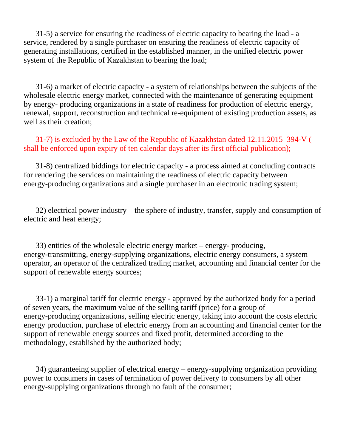31-5) a service for ensuring the readiness of electric capacity to bearing the load - a service, rendered by a single purchaser on ensuring the readiness of electric capacity of generating installations, certified in the established manner, in the unified electric power system of the Republic of Kazakhstan to bearing the load;

 31-6) a market of electric capacity - a system of relationships between the subjects of the wholesale electric energy market, connected with the maintenance of generating equipment by energy- producing organizations in a state of readiness for production of electric energy, renewal, support, reconstruction and technical re-equipment of existing production assets, as well as their creation;

 31-7) is excluded by the Law of the Republic of Kazakhstan dated 12.11.2015 394-V ( shall be enforced upon expiry of ten calendar days after its first official publication);

 31-8) centralized biddings for electric capacity - a process aimed at concluding contracts for rendering the services on maintaining the readiness of electric capacity between energy-producing organizations and a single purchaser in an electronic trading system;

 32) electrical power industry – the sphere of industry, transfer, supply and consumption of electric and heat energy;

 33) entities of the wholesale electric energy market – energy- producing, energy-transmitting, energy-supplying organizations, electric energy consumers, a system operator, an operator of the centralized trading market, accounting and financial center for the support of renewable energy sources;

 33-1) a marginal tariff for electric energy - approved by the authorized body for a period of seven years, the maximum value of the selling tariff (price) for a group of energy-producing organizations, selling electric energy, taking into account the costs electric energy production, purchase of electric energy from an accounting and financial center for the support of renewable energy sources and fixed profit, determined according to the methodology, established by the authorized body;

 34) guaranteeing supplier of electrical energy – energy-supplying organization providing power to consumers in cases of termination of power delivery to consumers by all other energy-supplying organizations through no fault of the consumer;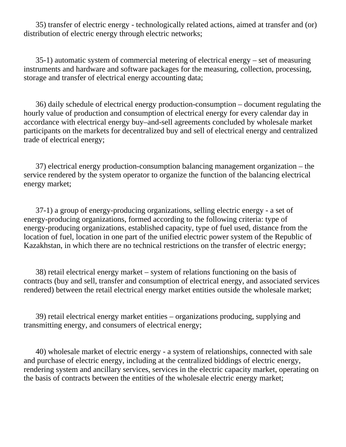35) transfer of electric energy - technologically related actions, aimed at transfer and (or) distribution of electric energy through electric networks;

 35-1) automatic system of commercial metering of electrical energy – set of measuring instruments and hardware and software packages for the measuring, collection, processing, storage and transfer of electrical energy accounting data;

 36) daily schedule of electrical energy production-consumption – document regulating the hourly value of production and consumption of electrical energy for every calendar day in accordance with electrical energy buy–and-sell agreements concluded by wholesale market participants on the markets for decentralized buy and sell of electrical energy and centralized trade of electrical energy;

 37) electrical energy production-consumption balancing management organization – the service rendered by the system operator to organize the function of the balancing electrical energy market;

 37-1) a group of energy-producing organizations, selling electric energy - a set of energy-producing organizations, formed according to the following criteria: type of energy-producing organizations, established capacity, type of fuel used, distance from the location of fuel, location in one part of the unified electric power system of the Republic of Kazakhstan, in which there are no technical restrictions on the transfer of electric energy;

 38) retail electrical energy market – system of relations functioning on the basis of contracts (buy and sell, transfer and consumption of electrical energy, and associated services rendered) between the retail electrical energy market entities outside the wholesale market;

 39) retail electrical energy market entities – organizations producing, supplying and transmitting energy, and consumers of electrical energy;

 40) wholesale market of electric energy - a system of relationships, connected with sale and purchase of electric energy, including at the centralized biddings of electric energy, rendering system and ancillary services, services in the electric capacity market, operating on the basis of contracts between the entities of the wholesale electric energy market;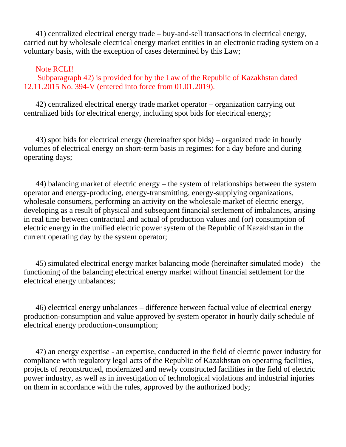41) centralized electrical energy trade – buy-and-sell transactions in electrical energy, carried out by wholesale electrical energy market entities in an electronic trading system on a voluntary basis, with the exception of cases determined by this Law;

#### Note RCLI!

 Subparagraph 42) is provided for by the Law of the Republic of Kazakhstan dated 12.11.2015 No. 394-V (entered into force from 01.01.2019).

 42) centralized electrical energy trade market operator – organization carrying out centralized bids for electrical energy, including spot bids for electrical energy;

 43) spot bids for electrical energy (hereinafter spot bids) – organized trade in hourly volumes of electrical energy on short-term basis in regimes: for a day before and during operating days;

 44) balancing market of electric energy – the system of relationships between the system operator and energy-producing, energy-transmitting, energy-supplying organizations, wholesale consumers, performing an activity on the wholesale market of electric energy, developing as a result of physical and subsequent financial settlement of imbalances, arising in real time between contractual and actual of production values and (or) consumption of electric energy in the unified electric power system of the Republic of Kazakhstan in the current operating day by the system operator;

 45) simulated electrical energy market balancing mode (hereinafter simulated mode) – the functioning of the balancing electrical energy market without financial settlement for the electrical energy unbalances;

 46) electrical energy unbalances – difference between factual value of electrical energy production-consumption and value approved by system operator in hourly daily schedule of electrical energy production-consumption;

 47) an energy expertise - an expertise, conducted in the field of electric power industry for compliance with regulatory legal acts of the Republic of Kazakhstan on operating facilities, projects of reconstructed, modernized and newly constructed facilities in the field of electric power industry, as well as in investigation of technological violations and industrial injuries on them in accordance with the rules, approved by the authorized body;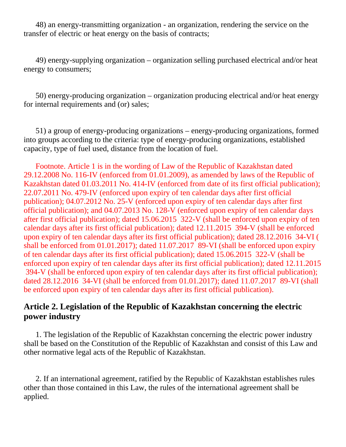48) an energy-transmitting organization - an organization, rendering the service on the transfer of electric or heat energy on the basis of contracts;

 49) energy-supplying organization – organization selling purchased electrical and/or heat energy to consumers;

 50) energy-producing organization – organization producing electrical and/or heat energy for internal requirements and (or) sales;

 51) a group of energy-producing organizations – energy-producing organizations, formed into groups according to the criteria: type of energy-producing organizations, established capacity, type of fuel used, distance from the location of fuel.

 Footnote. Article 1 is in the wording of Law of the Republic of Kazakhstan dated 29.12.2008 No. 116-IV (enforced from 01.01.2009), as amended by laws of the Republic of Kazakhstan dated 01.03.2011 No. 414-IV (enforced from date of its first official publication); 22.07.2011 No. 479-IV (enforced upon expiry of ten calendar days after first official publication); 04.07.2012 No. 25-V (enforced upon expiry of ten calendar days after first official publication); and 04.07.2013 No. 128-V (enforced upon expiry of ten calendar days after first official publication); dated 15.06.2015 322-V (shall be enforced upon expiry of ten calendar days after its first official publication); dated 12.11.2015 394-V (shall be enforced upon expiry of ten calendar days after its first official publication); dated 28.12.2016 34-VI ( shall be enforced from 01.01.2017); dated 11.07.2017 89-VI (shall be enforced upon expiry of ten calendar days after its first official publication); dated 15.06.2015 322-V (shall be enforced upon expiry of ten calendar days after its first official publication); dated 12.11.2015 394-V (shall be enforced upon expiry of ten calendar days after its first official publication); dated 28.12.2016 34-VI (shall be enforced from 01.01.2017); dated 11.07.2017 89-VI (shall be enforced upon expiry of ten calendar days after its first official publication).

## **Article 2. Legislation of the Republic of Kazakhstan concerning the electric power industry**

 1. The legislation of the Republic of Kazakhstan concerning the electric power industry shall be based on the Constitution of the Republic of Kazakhstan and consist of this Law and other normative legal acts of the Republic of Kazakhstan.

 2. If an international agreement, ratified by the Republic of Kazakhstan establishes rules other than those contained in this Law, the rules of the international agreement shall be applied.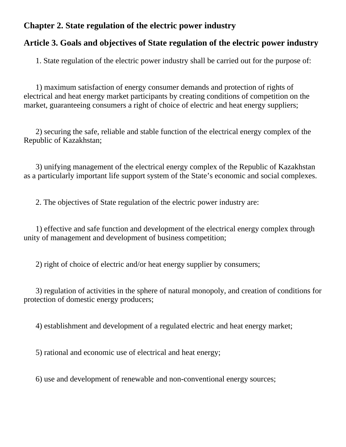# **Chapter 2. State regulation of the electric power industry**

## **Article 3. Goals and objectives of State regulation of the electric power industry**

1. State regulation of the electric power industry shall be carried out for the purpose of:

 1) maximum satisfaction of energy consumer demands and protection of rights of electrical and heat energy market participants by creating conditions of competition on the market, guaranteeing consumers a right of choice of electric and heat energy suppliers;

 2) securing the safe, reliable and stable function of the electrical energy complex of the Republic of Kazakhstan;

 3) unifying management of the electrical energy complex of the Republic of Kazakhstan as a particularly important life support system of the State's economic and social complexes.

2. The objectives of State regulation of the electric power industry are:

 1) effective and safe function and development of the electrical energy complex through unity of management and development of business competition;

2) right of choice of electric and/or heat energy supplier by consumers;

 3) regulation of activities in the sphere of natural monopoly, and creation of conditions for protection of domestic energy producers;

4) establishment and development of a regulated electric and heat energy market;

5) rational and economic use of electrical and heat energy;

6) use and development of renewable and non-conventional energy sources;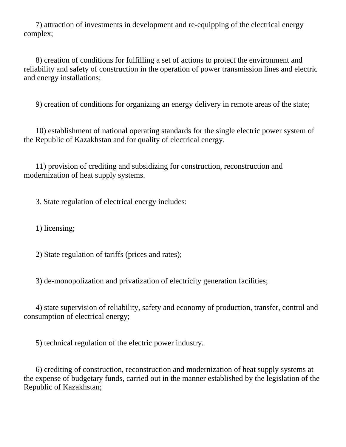7) attraction of investments in development and re-equipping of the electrical energy complex;

 8) creation of conditions for fulfilling a set of actions to protect the environment and reliability and safety of construction in the operation of power transmission lines and electric and energy installations;

9) creation of conditions for organizing an energy delivery in remote areas of the state;

 10) establishment of national operating standards for the single electric power system of the Republic of Kazakhstan and for quality of electrical energy.

 11) provision of crediting and subsidizing for construction, reconstruction and modernization of heat supply systems.

3. State regulation of electrical energy includes:

1) licensing;

2) State regulation of tariffs (prices and rates);

3) de-monopolization and privatization of electricity generation facilities;

 4) state supervision of reliability, safety and economy of production, transfer, control and consumption of electrical energy;

5) technical regulation of the electric power industry.

 6) crediting of construction, reconstruction and modernization of heat supply systems at the expense of budgetary funds, carried out in the manner established by the legislation of the Republic of Kazakhstan;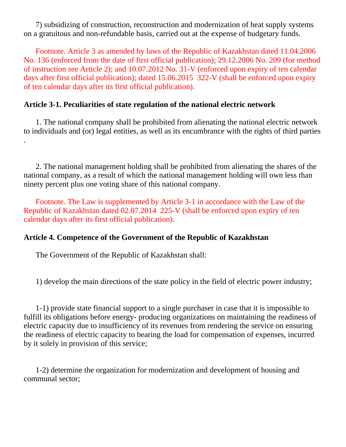7) subsidizing of construction, reconstruction and modernization of heat supply systems on a gratuitous and non-refundable basis, carried out at the expense of budgetary funds.

 Footnote. Article 3 as amended by laws of the Republic of Kazakhstan dated 11.04.2006 No. 136 (enforced from the date of first official publication); 29.12.2006 No. 209 (for method of instruction see Article 2); and 10.07.2012 No. 31-V (enforced upon expiry of ten calendar days after first official publication); dated 15.06.2015 322-V (shall be enforced upon expiry of ten calendar days after its first official publication).

### **Article 3-1. Peculiarities of state regulation of the national electric network**

 1. The national company shall be prohibited from alienating the national electric network to individuals and (or) legal entities, as well as its encumbrance with the rights of third parties .

 2. The national management holding shall be prohibited from alienating the shares of the national company, as a result of which the national management holding will own less than ninety percent plus one voting share of this national company.

 Footnote. The Law is supplemented by Article 3-1 in accordance with the Law of the Republic of Kazakhstan dated 02.07.2014 225-V (shall be enforced upon expiry of ten calendar days after its first official publication).

#### **Article 4. Competence of the Government of the Republic of Kazakhstan**

The Government of the Republic of Kazakhstan shall:

1) develop the main directions of the state policy in the field of electric power industry;

 1-1) provide state financial support to a single purchaser in case that it is impossible to fulfill its obligations before energy- producing organizations on maintaining the readiness of electric capacity due to insufficiency of its revenues from rendering the service on ensuring the readiness of electric capacity to bearing the load for compensation of expenses, incurred by it solely in provision of this service;

 1-2) determine the organization for modernization and development of housing and communal sector;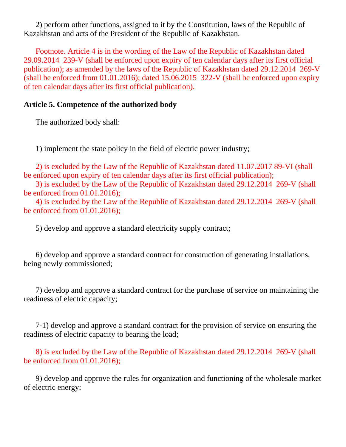2) perform other functions, assigned to it by the Constitution, laws of the Republic of Kazakhstan and acts of the President of the Republic of Kazakhstan.

 Footnote. Article 4 is in the wording of the Law of the Republic of Kazakhstan dated 29.09.2014 239-V (shall be enforced upon expiry of ten calendar days after its first official publication); as amended by the laws of the Republic of Kazakhstan dated 29.12.2014 269-V (shall be enforced from 01.01.2016); dated 15.06.2015 322-V (shall be enforced upon expiry of ten calendar days after its first official publication).

### **Article 5. Competence of the authorized body**

The authorized body shall:

1) implement the state policy in the field of electric power industry;

 2) is excluded by the Law of the Republic of Kazakhstan dated 11.07.2017 89-VI (shall be enforced upon expiry of ten calendar days after its first official publication);

 3) is excluded by the Law of the Republic of Kazakhstan dated 29.12.2014 269-V (shall be enforced from 01.01.2016);

 4) is excluded by the Law of the Republic of Kazakhstan dated 29.12.2014 269-V (shall be enforced from 01.01.2016);

5) develop and approve a standard electricity supply contract;

 6) develop and approve a standard contract for construction of generating installations, being newly commissioned;

 7) develop and approve a standard contract for the purchase of service on maintaining the readiness of electric capacity;

 7-1) develop and approve a standard contract for the provision of service on ensuring the readiness of electric capacity to bearing the load;

 8) is excluded by the Law of the Republic of Kazakhstan dated 29.12.2014 269-V (shall be enforced from 01.01.2016);

 9) develop and approve the rules for organization and functioning of the wholesale market of electric energy;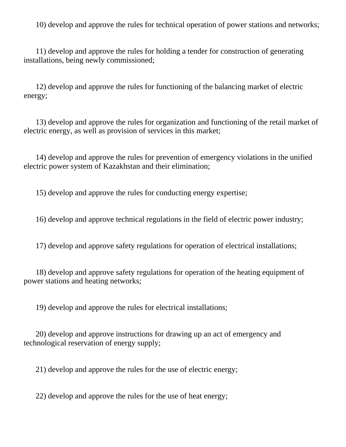10) develop and approve the rules for technical operation of power stations and networks;

 11) develop and approve the rules for holding a tender for construction of generating installations, being newly commissioned;

 12) develop and approve the rules for functioning of the balancing market of electric energy;

 13) develop and approve the rules for organization and functioning of the retail market of electric energy, as well as provision of services in this market;

 14) develop and approve the rules for prevention of emergency violations in the unified electric power system of Kazakhstan and their elimination;

15) develop and approve the rules for conducting energy expertise;

16) develop and approve technical regulations in the field of electric power industry;

17) develop and approve safety regulations for operation of electrical installations;

 18) develop and approve safety regulations for operation of the heating equipment of power stations and heating networks;

19) develop and approve the rules for electrical installations;

 20) develop and approve instructions for drawing up an act of emergency and technological reservation of energy supply;

21) develop and approve the rules for the use of electric energy;

22) develop and approve the rules for the use of heat energy;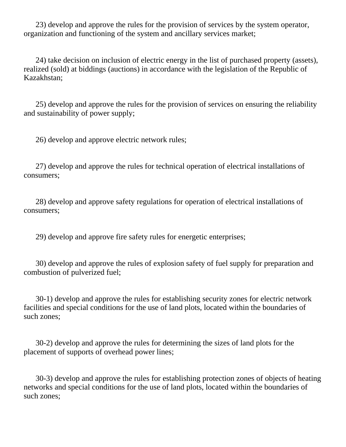23) develop and approve the rules for the provision of services by the system operator, organization and functioning of the system and ancillary services market;

 24) take decision on inclusion of electric energy in the list of purchased property (assets), realized (sold) at biddings (auctions) in accordance with the legislation of the Republic of Kazakhstan;

 25) develop and approve the rules for the provision of services on ensuring the reliability and sustainability of power supply;

26) develop and approve electric network rules;

 27) develop and approve the rules for technical operation of electrical installations of consumers;

 28) develop and approve safety regulations for operation of electrical installations of consumers;

29) develop and approve fire safety rules for energetic enterprises;

 30) develop and approve the rules of explosion safety of fuel supply for preparation and combustion of pulverized fuel;

 30-1) develop and approve the rules for establishing security zones for electric network facilities and special conditions for the use of land plots, located within the boundaries of such zones;

 30-2) develop and approve the rules for determining the sizes of land plots for the placement of supports of overhead power lines;

 30-3) develop and approve the rules for establishing protection zones of objects of heating networks and special conditions for the use of land plots, located within the boundaries of such zones;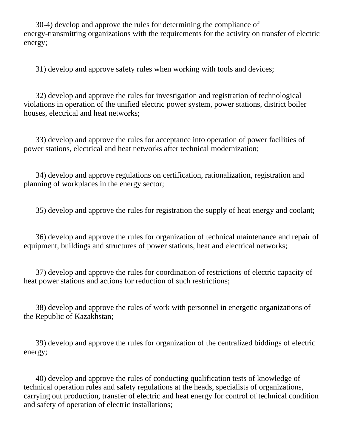30-4) develop and approve the rules for determining the compliance of energy-transmitting organizations with the requirements for the activity on transfer of electric energy;

31) develop and approve safety rules when working with tools and devices;

 32) develop and approve the rules for investigation and registration of technological violations in operation of the unified electric power system, power stations, district boiler houses, electrical and heat networks;

 33) develop and approve the rules for acceptance into operation of power facilities of power stations, electrical and heat networks after technical modernization;

 34) develop and approve regulations on certification, rationalization, registration and planning of workplaces in the energy sector;

35) develop and approve the rules for registration the supply of heat energy and coolant;

 36) develop and approve the rules for organization of technical maintenance and repair of equipment, buildings and structures of power stations, heat and electrical networks;

 37) develop and approve the rules for coordination of restrictions of electric capacity of heat power stations and actions for reduction of such restrictions;

 38) develop and approve the rules of work with personnel in energetic organizations of the Republic of Kazakhstan;

 39) develop and approve the rules for organization of the centralized biddings of electric energy;

 40) develop and approve the rules of conducting qualification tests of knowledge of technical operation rules and safety regulations at the heads, specialists of organizations, carrying out production, transfer of electric and heat energy for control of technical condition and safety of operation of electric installations;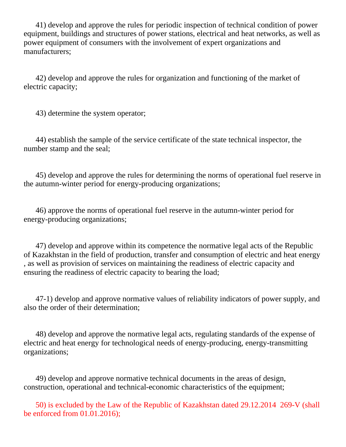41) develop and approve the rules for periodic inspection of technical condition of power equipment, buildings and structures of power stations, electrical and heat networks, as well as power equipment of consumers with the involvement of expert organizations and manufacturers;

 42) develop and approve the rules for organization and functioning of the market of electric capacity;

43) determine the system operator;

 44) establish the sample of the service certificate of the state technical inspector, the number stamp and the seal;

 45) develop and approve the rules for determining the norms of operational fuel reserve in the autumn-winter period for energy-producing organizations;

 46) approve the norms of operational fuel reserve in the autumn-winter period for energy-producing organizations;

 47) develop and approve within its competence the normative legal acts of the Republic of Kazakhstan in the field of production, transfer and consumption of electric and heat energy , as well as provision of services on maintaining the readiness of electric capacity and ensuring the readiness of electric capacity to bearing the load;

 47-1) develop and approve normative values of reliability indicators of power supply, and also the order of their determination;

 48) develop and approve the normative legal acts, regulating standards of the expense of electric and heat energy for technological needs of energy-producing, energy-transmitting organizations;

 49) develop and approve normative technical documents in the areas of design, construction, operational and technical-economic characteristics of the equipment;

 50) is excluded by the Law of the Republic of Kazakhstan dated 29.12.2014 269-V (shall be enforced from 01.01.2016);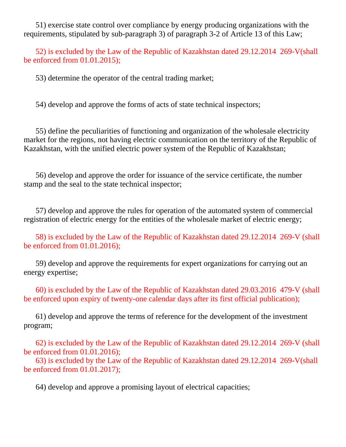51) exercise state control over compliance by energy producing organizations with the requirements, stipulated by sub-paragraph 3) of paragraph 3-2 of Article 13 of this Law;

 52) is excluded by the Law of the Republic of Kazakhstan dated 29.12.2014 269-V(shall be enforced from 01.01.2015);

53) determine the operator of the central trading market;

54) develop and approve the forms of acts of state technical inspectors;

 55) define the peculiarities of functioning and organization of the wholesale electricity market for the regions, not having electric communication on the territory of the Republic of Kazakhstan, with the unified electric power system of the Republic of Kazakhstan;

 56) develop and approve the order for issuance of the service certificate, the number stamp and the seal to the state technical inspector;

 57) develop and approve the rules for operation of the automated system of commercial registration of electric energy for the entities of the wholesale market of electric energy;

 58) is excluded by the Law of the Republic of Kazakhstan dated 29.12.2014 269-V (shall be enforced from 01.01.2016);

 59) develop and approve the requirements for expert organizations for carrying out an energy expertise;

 60) is excluded by the Law of the Republic of Kazakhstan dated 29.03.2016 479-V (shall be enforced upon expiry of twenty-one calendar days after its first official publication);

 61) develop and approve the terms of reference for the development of the investment program;

 62) is excluded by the Law of the Republic of Kazakhstan dated 29.12.2014 269-V (shall be enforced from 01.01.2016);

 63) is excluded by the Law of the Republic of Kazakhstan dated 29.12.2014 269-V(shall be enforced from 01.01.2017);

64) develop and approve a promising layout of electrical capacities;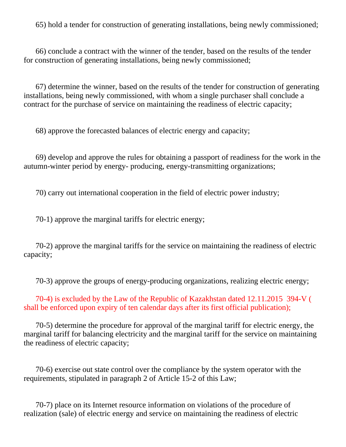65) hold a tender for construction of generating installations, being newly commissioned;

 66) conclude a contract with the winner of the tender, based on the results of the tender for construction of generating installations, being newly commissioned;

 67) determine the winner, based on the results of the tender for construction of generating installations, being newly commissioned, with whom a single purchaser shall conclude a contract for the purchase of service on maintaining the readiness of electric capacity;

68) approve the forecasted balances of electric energy and capacity;

 69) develop and approve the rules for obtaining a passport of readiness for the work in the autumn-winter period by energy- producing, energy-transmitting organizations;

70) carry out international cooperation in the field of electric power industry;

70-1) approve the marginal tariffs for electric energy;

 70-2) approve the marginal tariffs for the service on maintaining the readiness of electric capacity;

70-3) approve the groups of energy-producing organizations, realizing electric energy;

 70-4) is excluded by the Law of the Republic of Kazakhstan dated 12.11.2015 394-V ( shall be enforced upon expiry of ten calendar days after its first official publication);

 70-5) determine the procedure for approval of the marginal tariff for electric energy, the marginal tariff for balancing electricity and the marginal tariff for the service on maintaining the readiness of electric capacity;

 70-6) exercise out state control over the compliance by the system operator with the requirements, stipulated in paragraph 2 of Article 15-2 of this Law;

 70-7) place on its Internet resource information on violations of the procedure of realization (sale) of electric energy and service on maintaining the readiness of electric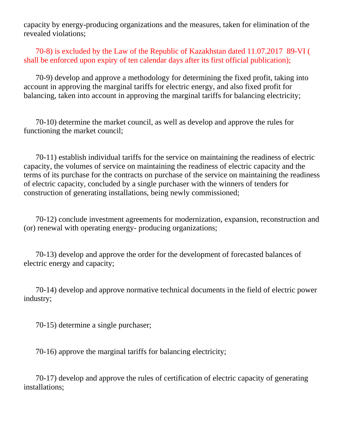capacity by energy-producing organizations and the measures, taken for elimination of the revealed violations;

 70-8) is excluded by the Law of the Republic of Kazakhstan dated 11.07.2017 89-VI ( shall be enforced upon expiry of ten calendar days after its first official publication);

 70-9) develop and approve a methodology for determining the fixed profit, taking into account in approving the marginal tariffs for electric energy, and also fixed profit for balancing, taken into account in approving the marginal tariffs for balancing electricity;

 70-10) determine the market council, as well as develop and approve the rules for functioning the market council;

 70-11) establish individual tariffs for the service on maintaining the readiness of electric capacity, the volumes of service on maintaining the readiness of electric capacity and the terms of its purchase for the contracts on purchase of the service on maintaining the readiness of electric capacity, concluded by a single purchaser with the winners of tenders for construction of generating installations, being newly commissioned;

 70-12) conclude investment agreements for modernization, expansion, reconstruction and (or) renewal with operating energy- producing organizations;

 70-13) develop and approve the order for the development of forecasted balances of electric energy and capacity;

 70-14) develop and approve normative technical documents in the field of electric power industry;

70-15) determine a single purchaser;

70-16) approve the marginal tariffs for balancing electricity;

 70-17) develop and approve the rules of certification of electric capacity of generating installations;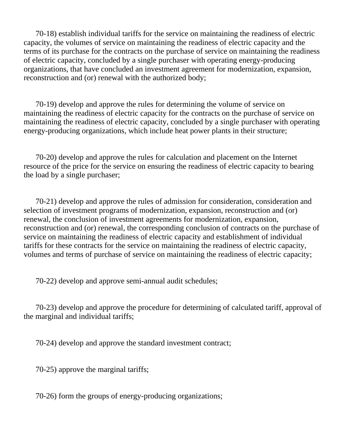70-18) establish individual tariffs for the service on maintaining the readiness of electric capacity, the volumes of service on maintaining the readiness of electric capacity and the terms of its purchase for the contracts on the purchase of service on maintaining the readiness of electric capacity, concluded by a single purchaser with operating energy-producing organizations, that have concluded an investment agreement for modernization, expansion, reconstruction and (or) renewal with the authorized body;

 70-19) develop and approve the rules for determining the volume of service on maintaining the readiness of electric capacity for the contracts on the purchase of service on maintaining the readiness of electric capacity, concluded by a single purchaser with operating energy-producing organizations, which include heat power plants in their structure;

 70-20) develop and approve the rules for calculation and placement on the Internet resource of the price for the service on ensuring the readiness of electric capacity to bearing the load by a single purchaser;

 70-21) develop and approve the rules of admission for consideration, consideration and selection of investment programs of modernization, expansion, reconstruction and (or) renewal, the conclusion of investment agreements for modernization, expansion, reconstruction and (or) renewal, the corresponding conclusion of contracts on the purchase of service on maintaining the readiness of electric capacity and establishment of individual tariffs for these contracts for the service on maintaining the readiness of electric capacity, volumes and terms of purchase of service on maintaining the readiness of electric capacity;

70-22) develop and approve semi-annual audit schedules;

 70-23) develop and approve the procedure for determining of calculated tariff, approval of the marginal and individual tariffs;

70-24) develop and approve the standard investment contract;

70-25) approve the marginal tariffs;

70-26) form the groups of energy-producing organizations;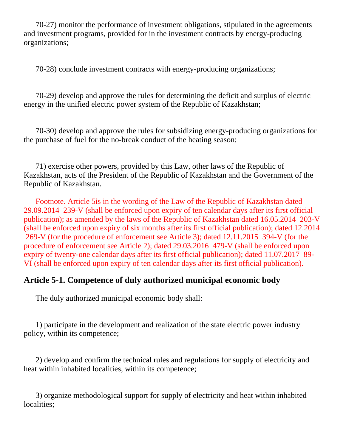70-27) monitor the performance of investment obligations, stipulated in the agreements and investment programs, provided for in the investment contracts by energy-producing organizations;

70-28) conclude investment contracts with energy-producing organizations;

 70-29) develop and approve the rules for determining the deficit and surplus of electric energy in the unified electric power system of the Republic of Kazakhstan;

 70-30) develop and approve the rules for subsidizing energy-producing organizations for the purchase of fuel for the no-break conduct of the heating season;

 71) exercise other powers, provided by this Law, other laws of the Republic of Kazakhstan, acts of the President of the Republic of Kazakhstan and the Government of the Republic of Kazakhstan.

 Footnote. Article 5is in the wording of the Law of the Republic of Kazakhstan dated 29.09.2014 239-V (shall be enforced upon expiry of ten calendar days after its first official publication); as amended by the laws of the Republic of Kazakhstan dated 16.05.2014 203-V (shall be enforced upon expiry of six months after its first official publication); dated 12.2014 269-V (for the procedure of enforcement see Article 3); dated 12.11.2015 394-V (for the procedure of enforcement see Article 2); dated 29.03.2016 479-V (shall be enforced upon expiry of twenty-one calendar days after its first official publication); dated 11.07.2017 89- VI (shall be enforced upon expiry of ten calendar days after its first official publication).

# **Article 5-1. Competence of duly authorized municipal economic body**

The duly authorized municipal economic body shall:

 1) participate in the development and realization of the state electric power industry policy, within its competence;

 2) develop and confirm the technical rules and regulations for supply of electricity and heat within inhabited localities, within its competence;

 3) organize methodological support for supply of electricity and heat within inhabited localities;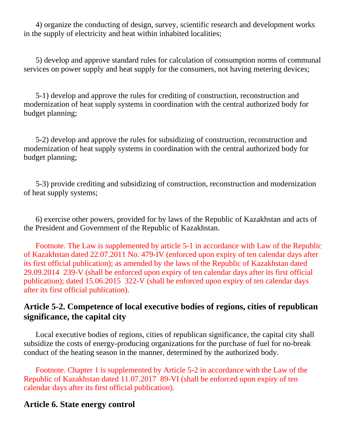4) organize the conducting of design, survey, scientific research and development works in the supply of electricity and heat within inhabited localities;

 5) develop and approve standard rules for calculation of consumption norms of communal services on power supply and heat supply for the consumers, not having metering devices;

 5-1) develop and approve the rules for crediting of construction, reconstruction and modernization of heat supply systems in coordination with the central authorized body for budget planning;

 5-2) develop and approve the rules for subsidizing of construction, reconstruction and modernization of heat supply systems in coordination with the central authorized body for budget planning;

 5-3) provide crediting and subsidizing of construction, reconstruction and modernization of heat supply systems;

 6) exercise other powers, provided for by laws of the Republic of Kazakhstan and acts of the President and Government of the Republic of Kazakhstan.

 Footnote. The Law is supplemented by article 5-1 in accordance with Law of the Republic of Kazakhstan dated 22.07.2011 No. 479-IV (enforced upon expiry of ten calendar days after its first official publication); as amended by the laws of the Republic of Kazakhstan dated 29.09.2014 239-V (shall be enforced upon expiry of ten calendar days after its first official publication); dated 15.06.2015 322-V (shall be enforced upon expiry of ten calendar days after its first official publication).

## **Article 5-2. Competence of local executive bodies of regions, cities of republican significance, the capital city**

 Local executive bodies of regions, cities of republican significance, the capital city shall subsidize the costs of energy-producing organizations for the purchase of fuel for no-break conduct of the heating season in the manner, determined by the authorized body.

 Footnote. Chapter 1 is supplemented by Article 5-2 in accordance with the Law of the Republic of Kazakhstan dated 11.07.2017 89-VI (shall be enforced upon expiry of ten calendar days after its first official publication).

### **Article 6. State energy control**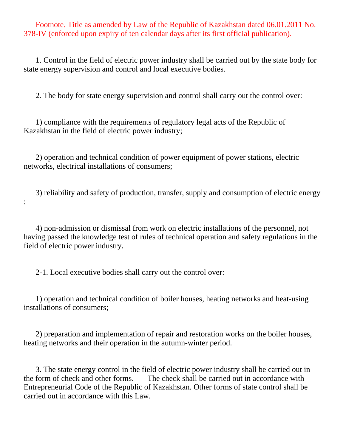Footnote. Title as amended by Law of the Republic of Kazakhstan dated 06.01.2011 No. 378-IV (enforced upon expiry of ten calendar days after its first official publication).

 1. Control in the field of electric power industry shall be carried out by the state body for state energy supervision and control and local executive bodies.

2. The body for state energy supervision and control shall carry out the control over:

 1) compliance with the requirements of regulatory legal acts of the Republic of Kazakhstan in the field of electric power industry;

 2) operation and technical condition of power equipment of power stations, electric networks, electrical installations of consumers;

 3) reliability and safety of production, transfer, supply and consumption of electric energy ;

 4) non-admission or dismissal from work on electric installations of the personnel, not having passed the knowledge test of rules of technical operation and safety regulations in the field of electric power industry.

2-1. Local executive bodies shall carry out the control over:

 1) operation and technical condition of boiler houses, heating networks and heat-using installations of consumers;

 2) preparation and implementation of repair and restoration works on the boiler houses, heating networks and their operation in the autumn-winter period.

 3. The state energy control in the field of electric power industry shall be carried out in the form of check and other forms. The check shall be carried out in accordance with Entrepreneurial Code of the Republic of Kazakhstan. Other forms of state control shall be carried out in accordance with this Law.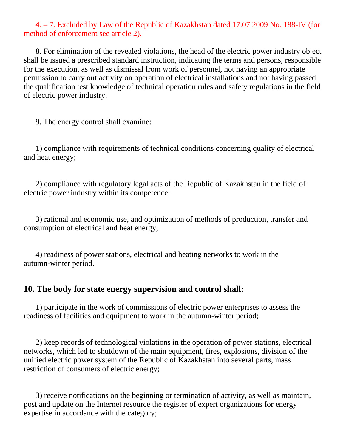### 4. – 7. Excluded by Law of the Republic of Kazakhstan dated 17.07.2009 No. 188-IV (for method of enforcement see article 2).

 8. For elimination of the revealed violations, the head of the electric power industry object shall be issued a prescribed standard instruction, indicating the terms and persons, responsible for the execution, as well as dismissal from work of personnel, not having an appropriate permission to carry out activity on operation of electrical installations and not having passed the qualification test knowledge of technical operation rules and safety regulations in the field of electric power industry.

9. The energy control shall examine:

 1) compliance with requirements of technical conditions concerning quality of electrical and heat energy;

 2) compliance with regulatory legal acts of the Republic of Kazakhstan in the field of electric power industry within its competence;

 3) rational and economic use, and optimization of methods of production, transfer and consumption of electrical and heat energy;

 4) readiness of power stations, electrical and heating networks to work in the autumn-winter period.

### **10. The body for state energy supervision and control shall:**

 1) participate in the work of commissions of electric power enterprises to assess the readiness of facilities and equipment to work in the autumn-winter period;

 2) keep records of technological violations in the operation of power stations, electrical networks, which led to shutdown of the main equipment, fires, explosions, division of the unified electric power system of the Republic of Kazakhstan into several parts, mass restriction of consumers of electric energy;

 3) receive notifications on the beginning or termination of activity, as well as maintain, post and update on the Internet resource the register of expert organizations for energy expertise in accordance with the category;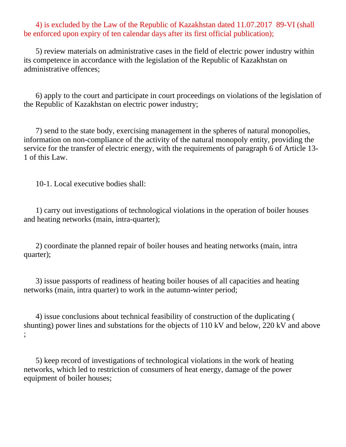4) is excluded by the Law of the Republic of Kazakhstan dated 11.07.2017 89-VI (shall be enforced upon expiry of ten calendar days after its first official publication);

 5) review materials on administrative cases in the field of electric power industry within its competence in accordance with the legislation of the Republic of Kazakhstan on administrative offences;

 6) apply to the court and participate in court proceedings on violations of the legislation of the Republic of Kazakhstan on electric power industry;

 7) send to the state body, exercising management in the spheres of natural monopolies, information on non-compliance of the activity of the natural monopoly entity, providing the service for the transfer of electric energy, with the requirements of paragraph 6 of Article 13- 1 of this Law.

10-1. Local executive bodies shall:

 1) carry out investigations of technological violations in the operation of boiler houses and heating networks (main, intra-quarter);

 2) coordinate the planned repair of boiler houses and heating networks (main, intra quarter);

 3) issue passports of readiness of heating boiler houses of all capacities and heating networks (main, intra quarter) to work in the autumn-winter period;

 4) issue conclusions about technical feasibility of construction of the duplicating ( shunting) power lines and substations for the objects of 110 kV and below, 220 kV and above ;

 5) keep record of investigations of technological violations in the work of heating networks, which led to restriction of consumers of heat energy, damage of the power equipment of boiler houses;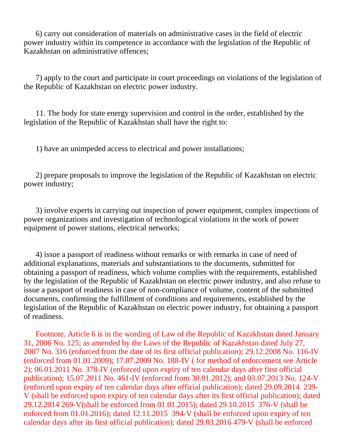6) carry out consideration of materials on administrative cases in the field of electric power industry within its competence in accordance with the legislation of the Republic of Kazakhstan on administrative offences;

 7) apply to the court and participate in court proceedings on violations of the legislation of the Republic of Kazakhstan on electric power industry.

 11. The body for state energy supervision and control in the order, established by the legislation of the Republic of Kazakhstan shall have the right to:

1) have an unimpeded access to electrical and power installations;

 2) prepare proposals to improve the legislation of the Republic of Kazakhstan on electric power industry;

 3) involve experts in carrying out inspection of power equipment, complex inspections of power organizations and investigation of technological violations in the work of power equipment of power stations, electrical networks;

 4) issue a passport of readiness without remarks or with remarks in case of need of additional explanations, materials and substantiations to the documents, submitted for obtaining a passport of readiness, which volume complies with the requirements, established by the legislation of the Republic of Kazakhstan on electric power industry, and also refuse to issue a passport of readiness in case of non-compliance of volume, content of the submitted documents, confirming the fulfillment of conditions and requirements, established by the legislation of the Republic of Kazakhstan on electric power industry, for obtaining a passport of readiness.

 Footnote. Article 6 is in the wording of Law of the Republic of Kazakhstan dated January 31, 2006 No. 125; as amended by the Laws of the Republic of Kazakhstan dated July 27, 2007 No. 316 (enforced from the date of its first official publication); 29.12.2008 No. 116-IV (enforced from 01.01.2009); 17.07.2009 No. 188-IV ( for method of enforcement see Article 2); 06.01.2011 No. 378-IV (enforced upon expiry of ten calendar days after first official publication); 15.07.2011 No. 461-IV (enforced from 30.01.2012); and 03.07.2013 No. 124-V (enforced upon expiry of ten calendar days after official publication); dated 29.09.2014 239- V (shall be enforced upon expiry of ten calendar days after its first official publication); dated 29.12.2014 269-V(shall be enforced from 01.01.2015); dated 29.10.2015 376-V (shall be enforced from 01.01.2016); dated 12.11.2015 394-V (shall be enforced upon expiry of ten calendar days after its first official publication); dated 29.03.2016 479-V (shall be enforced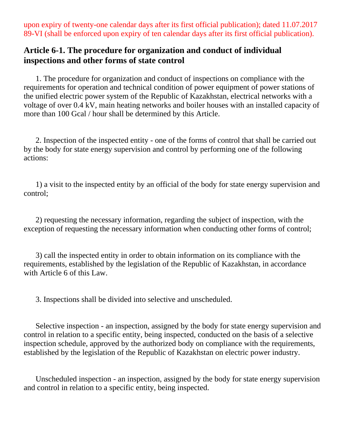upon expiry of twenty-one calendar days after its first official publication); dated 11.07.2017 89-VI (shall be enforced upon expiry of ten calendar days after its first official publication).

## **Article 6-1. The procedure for organization and conduct of individual inspections and other forms of state control**

 1. The procedure for organization and conduct of inspections on compliance with the requirements for operation and technical condition of power equipment of power stations of the unified electric power system of the Republic of Kazakhstan, electrical networks with a voltage of over 0.4 kV, main heating networks and boiler houses with an installed capacity of more than 100 Gcal / hour shall be determined by this Article.

 2. Inspection of the inspected entity - one of the forms of control that shall be carried out by the body for state energy supervision and control by performing one of the following actions:

 1) a visit to the inspected entity by an official of the body for state energy supervision and control;

 2) requesting the necessary information, regarding the subject of inspection, with the exception of requesting the necessary information when conducting other forms of control;

 3) call the inspected entity in order to obtain information on its compliance with the requirements, established by the legislation of the Republic of Kazakhstan, in accordance with Article 6 of this Law.

3. Inspections shall be divided into selective and unscheduled.

 Selective inspection - an inspection, assigned by the body for state energy supervision and control in relation to a specific entity, being inspected, conducted on the basis of a selective inspection schedule, approved by the authorized body on compliance with the requirements, established by the legislation of the Republic of Kazakhstan on electric power industry.

 Unscheduled inspection - an inspection, assigned by the body for state energy supervision and control in relation to a specific entity, being inspected.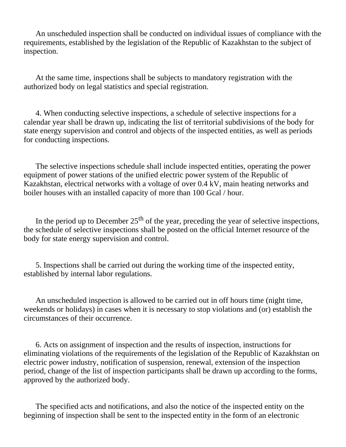An unscheduled inspection shall be conducted on individual issues of compliance with the requirements, established by the legislation of the Republic of Kazakhstan to the subject of inspection.

 At the same time, inspections shall be subjects to mandatory registration with the authorized body on legal statistics and special registration.

 4. When conducting selective inspections, a schedule of selective inspections for a calendar year shall be drawn up, indicating the list of territorial subdivisions of the body for state energy supervision and control and objects of the inspected entities, as well as periods for conducting inspections.

 The selective inspections schedule shall include inspected entities, operating the power equipment of power stations of the unified electric power system of the Republic of Kazakhstan, electrical networks with a voltage of over 0.4 kV, main heating networks and boiler houses with an installed capacity of more than 100 Gcal / hour.

In the period up to December  $25<sup>th</sup>$  of the year, preceding the year of selective inspections, the schedule of selective inspections shall be posted on the official Internet resource of the body for state energy supervision and control.

 5. Inspections shall be carried out during the working time of the inspected entity, established by internal labor regulations.

 An unscheduled inspection is allowed to be carried out in off hours time (night time, weekends or holidays) in cases when it is necessary to stop violations and (or) establish the circumstances of their occurrence.

 6. Acts on assignment of inspection and the results of inspection, instructions for eliminating violations of the requirements of the legislation of the Republic of Kazakhstan on electric power industry, notification of suspension, renewal, extension of the inspection period, change of the list of inspection participants shall be drawn up according to the forms, approved by the authorized body.

 The specified acts and notifications, and also the notice of the inspected entity on the beginning of inspection shall be sent to the inspected entity in the form of an electronic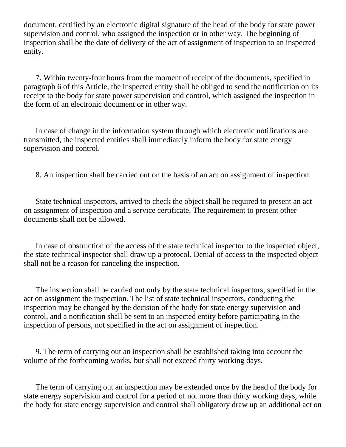document, certified by an electronic digital signature of the head of the body for state power supervision and control, who assigned the inspection or in other way. The beginning of inspection shall be the date of delivery of the act of assignment of inspection to an inspected entity.

 7. Within twenty-four hours from the moment of receipt of the documents, specified in paragraph 6 of this Article, the inspected entity shall be obliged to send the notification on its receipt to the body for state power supervision and control, which assigned the inspection in the form of an electronic document or in other way.

 In case of change in the information system through which electronic notifications are transmitted, the inspected entities shall immediately inform the body for state energy supervision and control.

8. An inspection shall be carried out on the basis of an act on assignment of inspection.

 State technical inspectors, arrived to check the object shall be required to present an act on assignment of inspection and a service certificate. The requirement to present other documents shall not be allowed.

 In case of obstruction of the access of the state technical inspector to the inspected object, the state technical inspector shall draw up a protocol. Denial of access to the inspected object shall not be a reason for canceling the inspection.

 The inspection shall be carried out only by the state technical inspectors, specified in the act on assignment the inspection. The list of state technical inspectors, conducting the inspection may be changed by the decision of the body for state energy supervision and control, and a notification shall be sent to an inspected entity before participating in the inspection of persons, not specified in the act on assignment of inspection.

 9. The term of carrying out an inspection shall be established taking into account the volume of the forthcoming works, but shall not exceed thirty working days.

 The term of carrying out an inspection may be extended once by the head of the body for state energy supervision and control for a period of not more than thirty working days, while the body for state energy supervision and control shall obligatory draw up an additional act on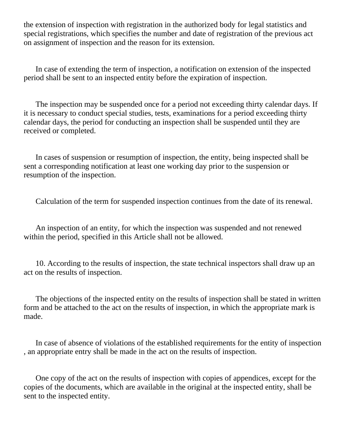the extension of inspection with registration in the authorized body for legal statistics and special registrations, which specifies the number and date of registration of the previous act on assignment of inspection and the reason for its extension.

 In case of extending the term of inspection, a notification on extension of the inspected period shall be sent to an inspected entity before the expiration of inspection.

 The inspection may be suspended once for a period not exceeding thirty calendar days. If it is necessary to conduct special studies, tests, examinations for a period exceeding thirty calendar days, the period for conducting an inspection shall be suspended until they are received or completed.

 In cases of suspension or resumption of inspection, the entity, being inspected shall be sent a corresponding notification at least one working day prior to the suspension or resumption of the inspection.

Calculation of the term for suspended inspection continues from the date of its renewal.

 An inspection of an entity, for which the inspection was suspended and not renewed within the period, specified in this Article shall not be allowed.

 10. According to the results of inspection, the state technical inspectors shall draw up an act on the results of inspection.

 The objections of the inspected entity on the results of inspection shall be stated in written form and be attached to the act on the results of inspection, in which the appropriate mark is made.

 In case of absence of violations of the established requirements for the entity of inspection , an appropriate entry shall be made in the act on the results of inspection.

 One copy of the act on the results of inspection with copies of appendices, except for the copies of the documents, which are available in the original at the inspected entity, shall be sent to the inspected entity.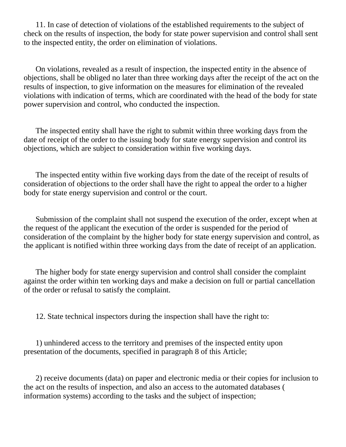11. In case of detection of violations of the established requirements to the subject of check on the results of inspection, the body for state power supervision and control shall sent to the inspected entity, the order on elimination of violations.

 On violations, revealed as a result of inspection, the inspected entity in the absence of objections, shall be obliged no later than three working days after the receipt of the act on the results of inspection, to give information on the measures for elimination of the revealed violations with indication of terms, which are coordinated with the head of the body for state power supervision and control, who conducted the inspection.

 The inspected entity shall have the right to submit within three working days from the date of receipt of the order to the issuing body for state energy supervision and control its objections, which are subject to consideration within five working days.

 The inspected entity within five working days from the date of the receipt of results of consideration of objections to the order shall have the right to appeal the order to a higher body for state energy supervision and control or the court.

 Submission of the complaint shall not suspend the execution of the order, except when at the request of the applicant the execution of the order is suspended for the period of consideration of the complaint by the higher body for state energy supervision and control, as the applicant is notified within three working days from the date of receipt of an application.

 The higher body for state energy supervision and control shall consider the complaint against the order within ten working days and make a decision on full or partial cancellation of the order or refusal to satisfy the complaint.

12. State technical inspectors during the inspection shall have the right to:

 1) unhindered access to the territory and premises of the inspected entity upon presentation of the documents, specified in paragraph 8 of this Article;

 2) receive documents (data) on paper and electronic media or their copies for inclusion to the act on the results of inspection, and also an access to the automated databases ( information systems) according to the tasks and the subject of inspection;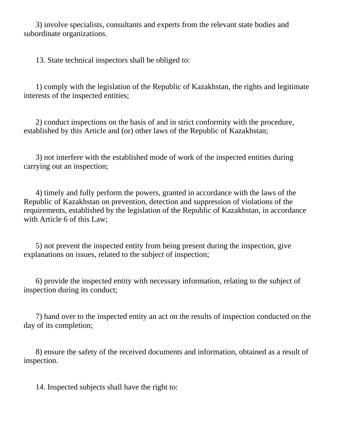3) involve specialists, consultants and experts from the relevant state bodies and subordinate organizations.

13. State technical inspectors shall be obliged to:

 1) comply with the legislation of the Republic of Kazakhstan, the rights and legitimate interests of the inspected entities;

 2) conduct inspections on the basis of and in strict conformity with the procedure, established by this Article and (or) other laws of the Republic of Kazakhstan;

 3) not interfere with the established mode of work of the inspected entities during carrying out an inspection;

 4) timely and fully perform the powers, granted in accordance with the laws of the Republic of Kazakhstan on prevention, detection and suppression of violations of the requirements, established by the legislation of the Republic of Kazakhstan, in accordance with Article 6 of this Law;

 5) not prevent the inspected entity from being present during the inspection, give explanations on issues, related to the subject of inspection;

 6) provide the inspected entity with necessary information, relating to the subject of inspection during its conduct;

 7) hand over to the inspected entity an act on the results of inspection conducted on the day of its completion;

 8) ensure the safety of the received documents and information, obtained as a result of inspection.

14. Inspected subjects shall have the right to: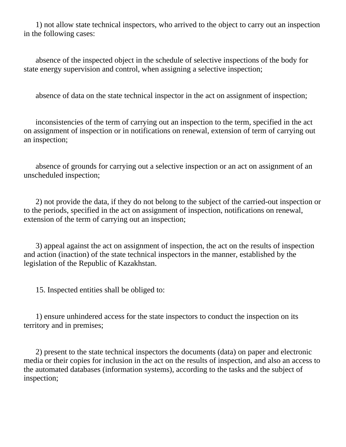1) not allow state technical inspectors, who arrived to the object to carry out an inspection in the following cases:

 absence of the inspected object in the schedule of selective inspections of the body for state energy supervision and control, when assigning a selective inspection;

absence of data on the state technical inspector in the act on assignment of inspection;

 inconsistencies of the term of carrying out an inspection to the term, specified in the act on assignment of inspection or in notifications on renewal, extension of term of carrying out an inspection;

 absence of grounds for carrying out a selective inspection or an act on assignment of an unscheduled inspection;

 2) not provide the data, if they do not belong to the subject of the carried-out inspection or to the periods, specified in the act on assignment of inspection, notifications on renewal, extension of the term of carrying out an inspection;

 3) appeal against the act on assignment of inspection, the act on the results of inspection and action (inaction) of the state technical inspectors in the manner, established by the legislation of the Republic of Kazakhstan.

15. Inspected entities shall be obliged to:

 1) ensure unhindered access for the state inspectors to conduct the inspection on its territory and in premises;

 2) present to the state technical inspectors the documents (data) on paper and electronic media or their copies for inclusion in the act on the results of inspection, and also an access to the automated databases (information systems), according to the tasks and the subject of inspection;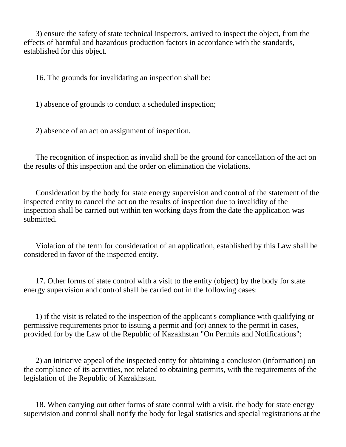3) ensure the safety of state technical inspectors, arrived to inspect the object, from the effects of harmful and hazardous production factors in accordance with the standards, established for this object.

16. The grounds for invalidating an inspection shall be:

1) absence of grounds to conduct a scheduled inspection;

2) absence of an act on assignment of inspection.

 The recognition of inspection as invalid shall be the ground for cancellation of the act on the results of this inspection and the order on elimination the violations.

 Consideration by the body for state energy supervision and control of the statement of the inspected entity to cancel the act on the results of inspection due to invalidity of the inspection shall be carried out within ten working days from the date the application was submitted.

 Violation of the term for consideration of an application, established by this Law shall be considered in favor of the inspected entity.

 17. Other forms of state control with a visit to the entity (object) by the body for state energy supervision and control shall be carried out in the following cases:

 1) if the visit is related to the inspection of the applicant's compliance with qualifying or permissive requirements prior to issuing a permit and (or) annex to the permit in cases, provided for by the Law of the Republic of Kazakhstan "On Permits and Notifications";

 2) an initiative appeal of the inspected entity for obtaining a conclusion (information) on the compliance of its activities, not related to obtaining permits, with the requirements of the legislation of the Republic of Kazakhstan.

 18. When carrying out other forms of state control with a visit, the body for state energy supervision and control shall notify the body for legal statistics and special registrations at the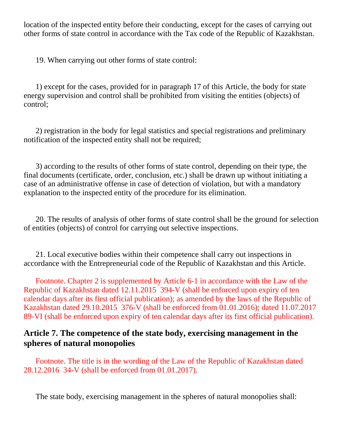location of the inspected entity before their conducting, except for the cases of carrying out other forms of state control in accordance with the Tax code of the Republic of Kazakhstan.

19. When carrying out other forms of state control:

 1) except for the cases, provided for in paragraph 17 of this Article, the body for state energy supervision and control shall be prohibited from visiting the entities (objects) of control;

 2) registration in the body for legal statistics and special registrations and preliminary notification of the inspected entity shall not be required;

 3) according to the results of other forms of state control, depending on their type, the final documents (certificate, order, conclusion, etc.) shall be drawn up without initiating a case of an administrative offense in case of detection of violation, but with a mandatory explanation to the inspected entity of the procedure for its elimination.

 20. The results of analysis of other forms of state control shall be the ground for selection of entities (objects) of control for carrying out selective inspections.

 21. Local executive bodies within their competence shall carry out inspections in accordance with the Entrepreneurial code of the Republic of Kazakhstan and this Article.

 Footnote. Chapter 2 is supplemented by Article 6-1 in accordance with the Law of the Republic of Kazakhstan dated 12.11.2015 394-V (shall be enforced upon expiry of ten calendar days after its first official publication); as amended by the laws of the Republic of Kazakhstan dated 29.10.2015 376-V (shall be enforced from 01.01.2016); dated 11.07.2017 89-VI (shall be enforced upon expiry of ten calendar days after its first official publication).

## **Article 7. The competence of the state body, exercising management in the spheres of natural monopolies**

 Footnote. The title is in the wording of the Law of the Republic of Kazakhstan dated 28.12.2016 34-V (shall be enforced from 01.01.2017).

The state body, exercising management in the spheres of natural monopolies shall: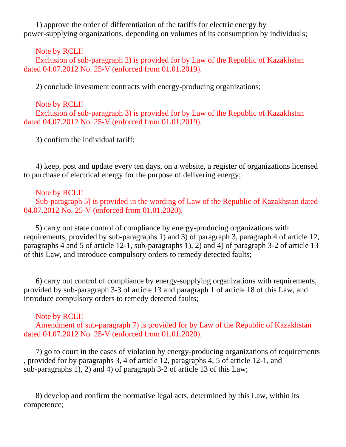1) approve the order of differentiation of the tariffs for electric energy by power-supplying organizations, depending on volumes of its consumption by individuals;

Note by RCLI!

 Exclusion of sub-paragraph 2) is provided for by Law of the Republic of Kazakhstan dated 04.07.2012 No. 25-V (enforced from 01.01.2019).

2) conclude investment contracts with energy-producing organizations;

 Note by RCLI! Exclusion of sub-paragraph 3) is provided for by Law of the Republic of Kazakhstan dated 04.07.2012 No. 25-V (enforced from 01.01.2019).

3) confirm the individual tariff;

 4) keep, post and update every ten days, on a website, a register of organizations licensed to purchase of electrical energy for the purpose of delivering energy;

Note by RCLI!

 Sub-paragraph 5) is provided in the wording of Law of the Republic of Kazakhstan dated 04.07.2012 No. 25-V (enforced from 01.01.2020).

 5) carry out state control of compliance by energy-producing organizations with requirements, provided by sub-paragraphs 1) and 3) of paragraph 3, paragraph 4 of article 12, paragraphs 4 and 5 of article 12-1, sub-paragraphs 1), 2) and 4) of paragraph 3-2 of article 13 of this Law, and introduce compulsory orders to remedy detected faults;

 6) carry out control of compliance by energy-supplying organizations with requirements, provided by sub-paragraph 3-3 of article 13 and paragraph 1 of article 18 of this Law, and introduce compulsory orders to remedy detected faults;

### Note by RCLI!

 Amendment of sub-paragraph 7) is provided for by Law of the Republic of Kazakhstan dated 04.07.2012 No. 25-V (enforced from 01.01.2020).

 7) go to court in the cases of violation by energy-producing organizations of requirements , provided for by paragraphs 3, 4 of article 12, paragraphs 4, 5 of article 12-1, and sub-paragraphs 1), 2) and 4) of paragraph 3-2 of article 13 of this Law;

 8) develop and confirm the normative legal acts, determined by this Law, within its competence;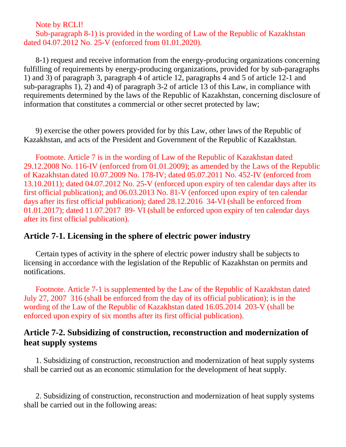Note by RCLI!

### Sub-paragraph 8-1) is provided in the wording of Law of the Republic of Kazakhstan dated 04.07.2012 No. 25-V (enforced from 01.01.2020).

 8-1) request and receive information from the energy-producing organizations concerning fulfilling of requirements by energy-producing organizations, provided for by sub-paragraphs 1) and 3) of paragraph 3, paragraph 4 of article 12, paragraphs 4 and 5 of article 12-1 and sub-paragraphs 1), 2) and 4) of paragraph 3-2 of article 13 of this Law, in compliance with requirements determined by the laws of the Republic of Kazakhstan, concerning disclosure of information that constitutes a commercial or other secret protected by law;

 9) exercise the other powers provided for by this Law, other laws of the Republic of Kazakhstan, and acts of the President and Government of the Republic of Kazakhstan.

 Footnote. Article 7 is in the wording of Law of the Republic of Kazakhstan dated 29.12.2008 No. 116-IV (enforced from 01.01.2009); as amended by the Laws of the Republic of Kazakhstan dated 10.07.2009 No. 178-IV; dated 05.07.2011 No. 452-IV (enforced from 13.10.2011); dated 04.07.2012 No. 25-V (enforced upon expiry of ten calendar days after its first official publication); and 06.03.2013 No. 81-V (enforced upon expiry of ten calendar days after its first official publication); dated 28.12.2016 34-VI (shall be enforced from 01.01.2017); dated 11.07.2017 89- VI (shall be enforced upon expiry of ten calendar days after its first official publication).

### **Article 7-1. Licensing in the sphere of electric power industry**

 Certain types of activity in the sphere of electric power industry shall be subjects to licensing in accordance with the legislation of the Republic of Kazakhstan on permits and notifications.

 Footnote. Article 7-1 is supplemented by the Law of the Republic of Kazakhstan dated July 27, 2007 316 (shall be enforced from the day of its official publication); is in the wording of the Law of the Republic of Kazakhstan dated 16.05.2014 203-V (shall be enforced upon expiry of six months after its first official publication).

## **Article 7-2. Subsidizing of construction, reconstruction and modernization of heat supply systems**

 1. Subsidizing of construction, reconstruction and modernization of heat supply systems shall be carried out as an economic stimulation for the development of heat supply.

 2. Subsidizing of construction, reconstruction and modernization of heat supply systems shall be carried out in the following areas: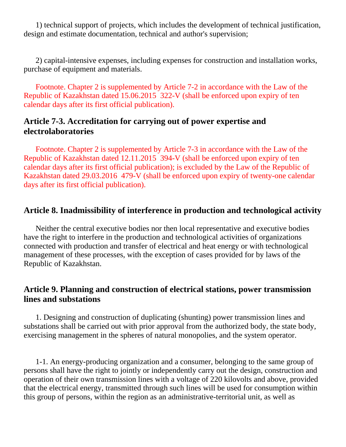1) technical support of projects, which includes the development of technical justification, design and estimate documentation, technical and author's supervision;

 2) capital-intensive expenses, including expenses for construction and installation works, purchase of equipment and materials.

 Footnote. Chapter 2 is supplemented by Article 7-2 in accordance with the Law of the Republic of Kazakhstan dated 15.06.2015 322-V (shall be enforced upon expiry of ten calendar days after its first official publication).

### **Article 7-3. Accreditation for carrying out of power expertise and electrolaboratories**

 Footnote. Chapter 2 is supplemented by Article 7-3 in accordance with the Law of the Republic of Kazakhstan dated 12.11.2015 394-V (shall be enforced upon expiry of ten calendar days after its first official publication); is excluded by the Law of the Republic of Kazakhstan dated 29.03.2016 479-V (shall be enforced upon expiry of twenty-one calendar days after its first official publication).

### **Article 8. Inadmissibility of interference in production and technological activity**

 Neither the central executive bodies nor then local representative and executive bodies have the right to interfere in the production and technological activities of organizations connected with production and transfer of electrical and heat energy or with technological management of these processes, with the exception of cases provided for by laws of the Republic of Kazakhstan.

## **Article 9. Planning and construction of electrical stations, power transmission lines and substations**

 1. Designing and construction of duplicating (shunting) power transmission lines and substations shall be carried out with prior approval from the authorized body, the state body, exercising management in the spheres of natural monopolies, and the system operator.

 1-1. An energy-producing organization and a consumer, belonging to the same group of persons shall have the right to jointly or independently carry out the design, construction and operation of their own transmission lines with a voltage of 220 kilovolts and above, provided that the electrical energy, transmitted through such lines will be used for consumption within this group of persons, within the region as an administrative-territorial unit, as well as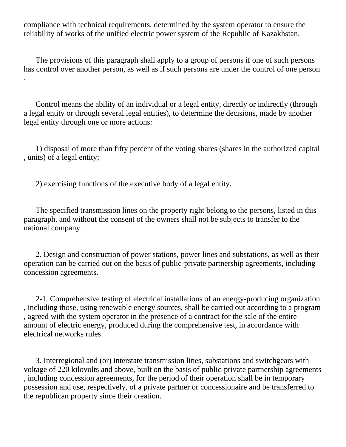compliance with technical requirements, determined by the system operator to ensure the reliability of works of the unified electric power system of the Republic of Kazakhstan.

 The provisions of this paragraph shall apply to a group of persons if one of such persons has control over another person, as well as if such persons are under the control of one person .

 Control means the ability of an individual or a legal entity, directly or indirectly (through a legal entity or through several legal entities), to determine the decisions, made by another legal entity through one or more actions:

 1) disposal of more than fifty percent of the voting shares (shares in the authorized capital , units) of a legal entity;

2) exercising functions of the executive body of a legal entity.

 The specified transmission lines on the property right belong to the persons, listed in this paragraph, and without the consent of the owners shall not be subjects to transfer to the national company.

 2. Design and construction of power stations, power lines and substations, as well as their operation can be carried out on the basis of public-private partnership agreements, including concession agreements.

 2-1. Comprehensive testing of electrical installations of an energy-producing organization , including those, using renewable energy sources, shall be carried out according to a program , agreed with the system operator in the presence of a contract for the sale of the entire amount of electric energy, produced during the comprehensive test, in accordance with electrical networks rules.

 3. Interregional and (or) interstate transmission lines, substations and switchgears with voltage of 220 kilovolts and above, built on the basis of public-private partnership agreements , including concession agreements, for the period of their operation shall be in temporary possession and use, respectively, of a private partner or concessionaire and be transferred to the republican property since their creation.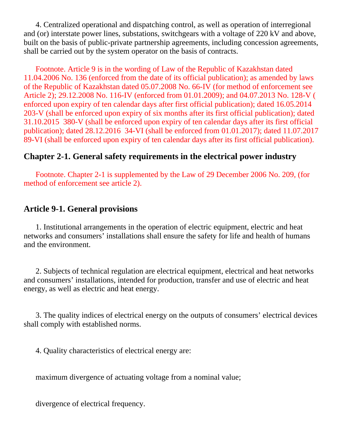4. Centralized operational and dispatching control, as well as operation of interregional and (or) interstate power lines, substations, switchgears with a voltage of 220 kV and above, built on the basis of public-private partnership agreements, including concession agreements, shall be carried out by the system operator on the basis of contracts.

 Footnote. Article 9 is in the wording of Law of the Republic of Kazakhstan dated 11.04.2006 No. 136 (enforced from the date of its official publication); as amended by laws of the Republic of Kazakhstan dated 05.07.2008 No. 66-IV (for method of enforcement see Article 2); 29.12.2008 No. 116-IV (enforced from 01.01.2009); and 04.07.2013 No. 128-V ( enforced upon expiry of ten calendar days after first official publication); dated 16.05.2014 203-V (shall be enforced upon expiry of six months after its first official publication); dated 31.10.2015 380-V (shall be enforced upon expiry of ten calendar days after its first official publication); dated 28.12.2016 34-VI (shall be enforced from 01.01.2017); dated 11.07.2017 89-VI (shall be enforced upon expiry of ten calendar days after its first official publication).

## **Chapter 2-1. General safety requirements in the electrical power industry**

 Footnote. Chapter 2-1 is supplemented by the Law of 29 December 2006 No. 209, (for method of enforcement see article 2).

## **Article 9-1. General provisions**

 1. Institutional arrangements in the operation of electric equipment, electric and heat networks and consumers' installations shall ensure the safety for life and health of humans and the environment.

 2. Subjects of technical regulation are electrical equipment, electrical and heat networks and consumers' installations, intended for production, transfer and use of electric and heat energy, as well as electric and heat energy.

 3. The quality indices of electrical energy on the outputs of consumers' electrical devices shall comply with established norms.

4. Quality characteristics of electrical energy are:

maximum divergence of actuating voltage from a nominal value;

divergence of electrical frequency.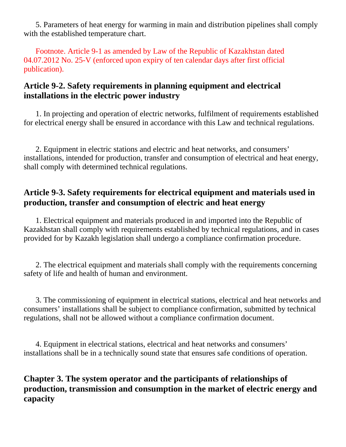5. Parameters of heat energy for warming in main and distribution pipelines shall comply with the established temperature chart.

 Footnote. Article 9-1 as amended by Law of the Republic of Kazakhstan dated 04.07.2012 No. 25-V (enforced upon expiry of ten calendar days after first official publication).

# **Article 9-2. Safety requirements in planning equipment and electrical installations in the electric power industry**

 1. In projecting and operation of electric networks, fulfilment of requirements established for electrical energy shall be ensured in accordance with this Law and technical regulations.

 2. Equipment in electric stations and electric and heat networks, and consumers' installations, intended for production, transfer and consumption of electrical and heat energy, shall comply with determined technical regulations.

# **Article 9-3. Safety requirements for electrical equipment and materials used in production, transfer and consumption of electric and heat energy**

 1. Electrical equipment and materials produced in and imported into the Republic of Kazakhstan shall comply with requirements established by technical regulations, and in cases provided for by Kazakh legislation shall undergo a compliance confirmation procedure.

 2. The electrical equipment and materials shall comply with the requirements concerning safety of life and health of human and environment.

 3. The commissioning of equipment in electrical stations, electrical and heat networks and consumers' installations shall be subject to compliance confirmation, submitted by technical regulations, shall not be allowed without a compliance confirmation document.

 4. Equipment in electrical stations, electrical and heat networks and consumers' installations shall be in a technically sound state that ensures safe conditions of operation.

# **Chapter 3. The system operator and the participants of relationships of production, transmission and consumption in the market of electric energy and capacity**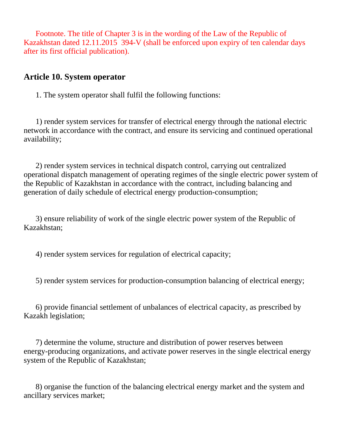Footnote. The title of Chapter 3 is in the wording of the Law of the Republic of Kazakhstan dated 12.11.2015 394-V (shall be enforced upon expiry of ten calendar days after its first official publication).

### **Article 10. System operator**

1. The system operator shall fulfil the following functions:

 1) render system services for transfer of electrical energy through the national electric network in accordance with the contract, and ensure its servicing and continued operational availability;

 2) render system services in technical dispatch control, carrying out centralized operational dispatch management of operating regimes of the single electric power system of the Republic of Kazakhstan in accordance with the contract, including balancing and generation of daily schedule of electrical energy production-consumption;

 3) ensure reliability of work of the single electric power system of the Republic of Kazakhstan;

4) render system services for regulation of electrical capacity;

5) render system services for production-consumption balancing of electrical energy;

 6) provide financial settlement of unbalances of electrical capacity, as prescribed by Kazakh legislation;

 7) determine the volume, structure and distribution of power reserves between energy-producing organizations, and activate power reserves in the single electrical energy system of the Republic of Kazakhstan;

 8) organise the function of the balancing electrical energy market and the system and ancillary services market;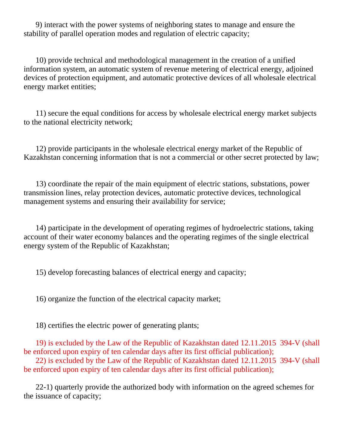9) interact with the power systems of neighboring states to manage and ensure the stability of parallel operation modes and regulation of electric capacity;

 10) provide technical and methodological management in the creation of a unified information system, an automatic system of revenue metering of electrical energy, adjoined devices of protection equipment, and automatic protective devices of all wholesale electrical energy market entities;

 11) secure the equal conditions for access by wholesale electrical energy market subjects to the national electricity network;

 12) provide participants in the wholesale electrical energy market of the Republic of Kazakhstan concerning information that is not a commercial or other secret protected by law;

 13) coordinate the repair of the main equipment of electric stations, substations, power transmission lines, relay protection devices, automatic protective devices, technological management systems and ensuring their availability for service;

 14) participate in the development of operating regimes of hydroelectric stations, taking account of their water economy balances and the operating regimes of the single electrical energy system of the Republic of Kazakhstan;

15) develop forecasting balances of electrical energy and capacity;

16) organize the function of the electrical capacity market;

18) certifies the electric power of generating plants;

 19) is excluded by the Law of the Republic of Kazakhstan dated 12.11.2015 394-V (shall be enforced upon expiry of ten calendar days after its first official publication);

 22) is excluded by the Law of the Republic of Kazakhstan dated 12.11.2015 394-V (shall be enforced upon expiry of ten calendar days after its first official publication);

 22-1) quarterly provide the authorized body with information on the agreed schemes for the issuance of capacity;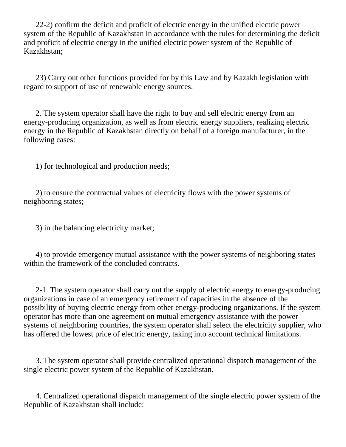22-2) confirm the deficit and proficit of electric energy in the unified electric power system of the Republic of Kazakhstan in accordance with the rules for determining the deficit and proficit of electric energy in the unified electric power system of the Republic of Kazakhstan;

 23) Carry out other functions provided for by this Law and by Kazakh legislation with regard to support of use of renewable energy sources.

 2. The system operator shall have the right to buy and sell electric energy from an energy-producing organization, as well as from electric energy suppliers, realizing electric energy in the Republic of Kazakhstan directly on behalf of a foreign manufacturer, in the following cases:

1) for technological and production needs;

 2) to ensure the contractual values of electricity flows with the power systems of neighboring states;

3) in the balancing electricity market;

 4) to provide emergency mutual assistance with the power systems of neighboring states within the framework of the concluded contracts.

 2-1. The system operator shall carry out the supply of electric energy to energy-producing organizations in case of an emergency retirement of capacities in the absence of the possibility of buying electric energy from other energy-producing organizations. If the system operator has more than one agreement on mutual emergency assistance with the power systems of neighboring countries, the system operator shall select the electricity supplier, who has offered the lowest price of electric energy, taking into account technical limitations.

 3. The system operator shall provide centralized operational dispatch management of the single electric power system of the Republic of Kazakhstan.

 4. Centralized operational dispatch management of the single electric power system of the Republic of Kazakhstan shall include: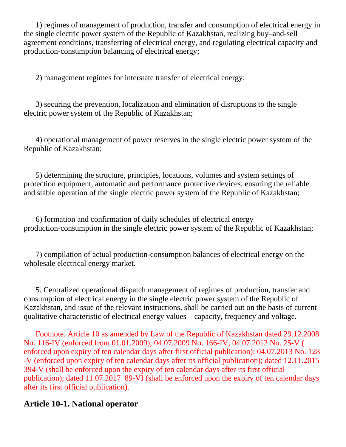1) regimes of management of production, transfer and consumption of electrical energy in the single electric power system of the Republic of Kazakhstan, realizing buy–and-sell agreement conditions, transferring of electrical energy, and regulating electrical capacity and production-consumption balancing of electrical energy;

2) management regimes for interstate transfer of electrical energy;

 3) securing the prevention, localization and elimination of disruptions to the single electric power system of the Republic of Kazakhstan;

 4) operational management of power reserves in the single electric power system of the Republic of Kazakhstan;

 5) determining the structure, principles, locations, volumes and system settings of protection equipment, automatic and performance protective devices, ensuring the reliable and stable operation of the single electric power system of the Republic of Kazakhstan;

 6) formation and confirmation of daily schedules of electrical energy production-consumption in the single electric power system of the Republic of Kazakhstan;

 7) compilation of actual production-consumption balances of electrical energy on the wholesale electrical energy market.

 5. Centralized operational dispatch management of regimes of production, transfer and consumption of electrical energy in the single electric power system of the Republic of Kazakhstan, and issue of the relevant instructions, shall be carried out on the basis of current qualitative characteristic of electrical energy values – capacity, frequency and voltage.

 Footnote. Article 10 as amended by Law of the Republic of Kazakhstan dated 29.12.2008 No. 116-IV (enforced from 01.01.2009); 04.07.2009 No. 166-IV; 04.07.2012 No. 25-V ( enforced upon expiry of ten calendar days after first official publication); 04.07.2013 No. 128 -V (enforced upon expiry of ten calendar days after its official publication); dated 12.11.2015 394-V (shall be enforced upon the expiry of ten calendar days after its first official publication); dated 11.07.2017 89-VI (shall be enforced upon the expiry of ten calendar days after its first official publication).

### **Article 10-1. National operator**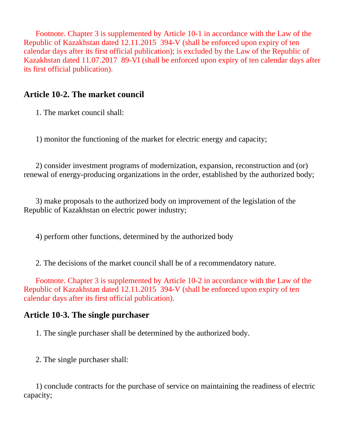Footnote. Chapter 3 is supplemented by Article 10-1 in accordance with the Law of the Republic of Kazakhstan dated 12.11.2015 394-V (shall be enforced upon expiry of ten calendar days after its first official publication); is excluded by the Law of the Republic of Kazakhstan dated 11.07.2017 89-VI (shall be enforced upon expiry of ten calendar days after its first official publication).

## **Article 10-2. The market council**

1. The market council shall:

1) monitor the functioning of the market for electric energy and capacity;

 2) consider investment programs of modernization, expansion, reconstruction and (or) renewal of energy-producing organizations in the order, established by the authorized body;

 3) make proposals to the authorized body on improvement of the legislation of the Republic of Kazakhstan on electric power industry;

4) perform other functions, determined by the authorized body

2. The decisions of the market council shall be of a recommendatory nature.

 Footnote. Chapter 3 is supplemented by Article 10-2 in accordance with the Law of the Republic of Kazakhstan dated 12.11.2015 394-V (shall be enforced upon expiry of ten calendar days after its first official publication).

## **Article 10-3. The single purchaser**

1. The single purchaser shall be determined by the authorized body.

2. The single purchaser shall:

 1) conclude contracts for the purchase of service on maintaining the readiness of electric capacity;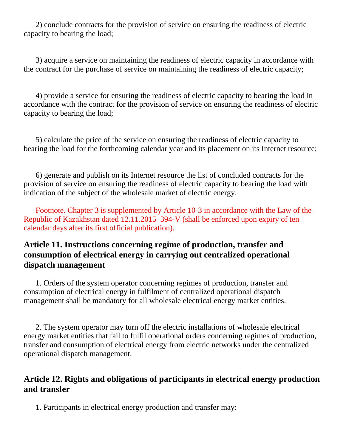2) conclude contracts for the provision of service on ensuring the readiness of electric capacity to bearing the load;

 3) acquire a service on maintaining the readiness of electric capacity in accordance with the contract for the purchase of service on maintaining the readiness of electric capacity;

 4) provide a service for ensuring the readiness of electric capacity to bearing the load in accordance with the contract for the provision of service on ensuring the readiness of electric capacity to bearing the load;

 5) calculate the price of the service on ensuring the readiness of electric capacity to bearing the load for the forthcoming calendar year and its placement on its Internet resource;

 6) generate and publish on its Internet resource the list of concluded contracts for the provision of service on ensuring the readiness of electric capacity to bearing the load with indication of the subject of the wholesale market of electric energy.

 Footnote. Chapter 3 is supplemented by Article 10-3 in accordance with the Law of the Republic of Kazakhstan dated 12.11.2015 394-V (shall be enforced upon expiry of ten calendar days after its first official publication).

# **Article 11. Instructions concerning regime of production, transfer and consumption of electrical energy in carrying out centralized operational dispatch management**

 1. Orders of the system operator concerning regimes of production, transfer and consumption of electrical energy in fulfilment of centralized operational dispatch management shall be mandatory for all wholesale electrical energy market entities.

 2. The system operator may turn off the electric installations of wholesale electrical energy market entities that fail to fulfil operational orders concerning regimes of production, transfer and consumption of electrical energy from electric networks under the centralized operational dispatch management.

## **Article 12. Rights and obligations of participants in electrical energy production and transfer**

1. Participants in electrical energy production and transfer may: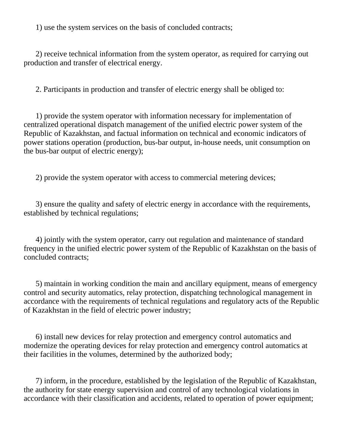1) use the system services on the basis of concluded contracts;

 2) receive technical information from the system operator, as required for carrying out production and transfer of electrical energy.

2. Participants in production and transfer of electric energy shall be obliged to:

 1) provide the system operator with information necessary for implementation of centralized operational dispatch management of the unified electric power system of the Republic of Kazakhstan, and factual information on technical and economic indicators of power stations operation (production, bus-bar output, in-house needs, unit consumption on the bus-bar output of electric energy);

2) provide the system operator with access to commercial metering devices;

 3) ensure the quality and safety of electric energy in accordance with the requirements, established by technical regulations;

 4) jointly with the system operator, carry out regulation and maintenance of standard frequency in the unified electric power system of the Republic of Kazakhstan on the basis of concluded contracts;

 5) maintain in working condition the main and ancillary equipment, means of emergency control and security automatics, relay protection, dispatching technological management in accordance with the requirements of technical regulations and regulatory acts of the Republic of Kazakhstan in the field of electric power industry;

 6) install new devices for relay protection and emergency control automatics and modernize the operating devices for relay protection and emergency control automatics at their facilities in the volumes, determined by the authorized body;

 7) inform, in the procedure, established by the legislation of the Republic of Kazakhstan, the authority for state energy supervision and control of any technological violations in accordance with their classification and accidents, related to operation of power equipment;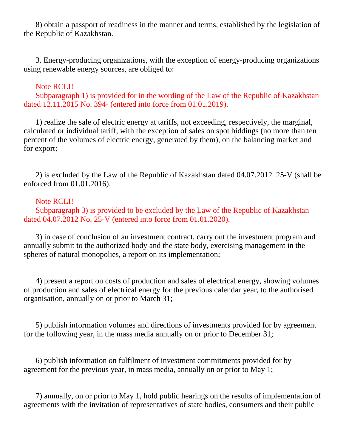8) obtain a passport of readiness in the manner and terms, established by the legislation of the Republic of Kazakhstan.

 3. Energy-producing organizations, with the exception of energy-producing organizations using renewable energy sources, are obliged to:

#### Note RCLI!

 Subparagraph 1) is provided for in the wording of the Law of the Republic of Kazakhstan dated 12.11.2015 No. 394- (entered into force from 01.01.2019).

 1) realize the sale of electric energy at tariffs, not exceeding, respectively, the marginal, calculated or individual tariff, with the exception of sales on spot biddings (no more than ten percent of the volumes of electric energy, generated by them), on the balancing market and for export;

 2) is excluded by the Law of the Republic of Kazakhstan dated 04.07.2012 25-V (shall be enforced from 01.01.2016).

#### Note RCLI!

 Subparagraph 3) is provided to be excluded by the Law of the Republic of Kazakhstan dated 04.07.2012 No. 25-V (entered into force from 01.01.2020).

 3) in case of conclusion of an investment contract, carry out the investment program and annually submit to the authorized body and the state body, exercising management in the spheres of natural monopolies, a report on its implementation;

 4) present a report on costs of production and sales of electrical energy, showing volumes of production and sales of electrical energy for the previous calendar year, to the authorised organisation, annually on or prior to March 31;

 5) publish information volumes and directions of investments provided for by agreement for the following year, in the mass media annually on or prior to December 31;

 6) publish information on fulfilment of investment commitments provided for by agreement for the previous year, in mass media, annually on or prior to May 1;

 7) annually, on or prior to May 1, hold public hearings on the results of implementation of agreements with the invitation of representatives of state bodies, consumers and their public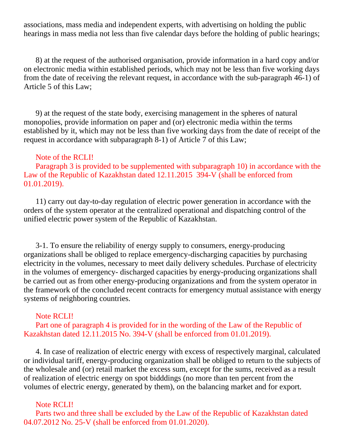associations, mass media and independent experts, with advertising on holding the public hearings in mass media not less than five calendar days before the holding of public hearings;

 8) at the request of the authorised organisation, provide information in a hard copy and/or on electronic media within established periods, which may not be less than five working days from the date of receiving the relevant request, in accordance with the sub-paragraph 46-1) of Article 5 of this Law;

 9) at the request of the state body, exercising management in the spheres of natural monopolies, provide information on paper and (or) electronic media within the terms established by it, which may not be less than five working days from the date of receipt of the request in accordance with subparagraph 8-1) of Article 7 of this Law;

#### Note of the RCLI!

 Paragraph 3 is provided to be supplemented with subparagraph 10) in accordance with the Law of the Republic of Kazakhstan dated 12.11.2015 394-V (shall be enforced from 01.01.2019).

 11) carry out day-to-day regulation of electric power generation in accordance with the orders of the system operator at the centralized operational and dispatching control of the unified electric power system of the Republic of Kazakhstan.

 3-1. To ensure the reliability of energy supply to consumers, energy-producing organizations shall be obliged to replace emergency-discharging capacities by purchasing electricity in the volumes, necessary to meet daily delivery schedules. Purchase of electricity in the volumes of emergency- discharged capacities by energy-producing organizations shall be carried out as from other energy-producing organizations and from the system operator in the framework of the concluded recent contracts for emergency mutual assistance with energy systems of neighboring countries.

#### Note RCLI!

 Part one of paragraph 4 is provided for in the wording of the Law of the Republic of Kazakhstan dated 12.11.2015 No. 394-V (shall be enforced from 01.01.2019).

 4. In case of realization of electric energy with excess of respectively marginal, calculated or individual tariff, energy-producing organization shall be obliged to return to the subjects of the wholesale and (or) retail market the excess sum, except for the sums, received as a result of realization of electric energy on spot bidddings (no more than ten percent from the volumes of electric energy, generated by them), on the balancing market and for export.

#### Note RCLI!

 Parts two and three shall be excluded by the Law of the Republic of Kazakhstan dated 04.07.2012 No. 25-V (shall be enforced from 01.01.2020).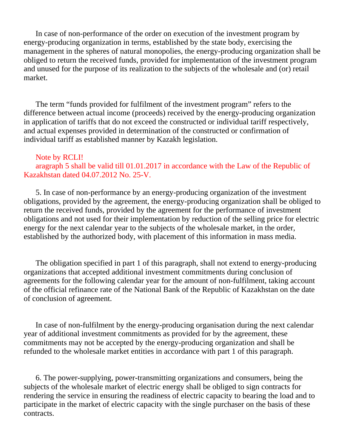In case of non-performance of the order on execution of the investment program by energy-producing organization in terms, established by the state body, exercising the management in the spheres of natural monopolies, the energy-producing organization shall be obliged to return the received funds, provided for implementation of the investment program and unused for the purpose of its realization to the subjects of the wholesale and (or) retail market.

 The term "funds provided for fulfilment of the investment program" refers to the difference between actual income (proceeds) received by the energy-producing organization in application of tariffs that do not exceed the constructed or individual tariff respectively, and actual expenses provided in determination of the constructed or confirmation of individual tariff as established manner by Kazakh legislation.

### Note by RCLI! aragraph 5 shall be valid till 01.01.2017 in accordance with the Law of the Republic of Kazakhstan dated 04.07.2012 No. 25-V.

 5. In case of non-performance by an energy-producing organization of the investment obligations, provided by the agreement, the energy-producing organization shall be obliged to return the received funds, provided by the agreement for the performance of investment obligations and not used for their implementation by reduction of the selling price for electric energy for the next calendar year to the subjects of the wholesale market, in the order, established by the authorized body, with placement of this information in mass media.

 The obligation specified in part 1 of this paragraph, shall not extend to energy-producing organizations that accepted additional investment commitments during conclusion of agreements for the following calendar year for the amount of non-fulfilment, taking account of the official refinance rate of the National Bank of the Republic of Kazakhstan on the date of conclusion of agreement.

 In case of non-fulfilment by the energy-producing organisation during the next calendar year of additional investment commitments as provided for by the agreement, these commitments may not be accepted by the energy-producing organization and shall be refunded to the wholesale market entities in accordance with part 1 of this paragraph.

 6. The power-supplying, power-transmitting organizations and consumers, being the subjects of the wholesale market of electric energy shall be obliged to sign contracts for rendering the service in ensuring the readiness of electric capacity to bearing the load and to participate in the market of electric capacity with the single purchaser on the basis of these contracts.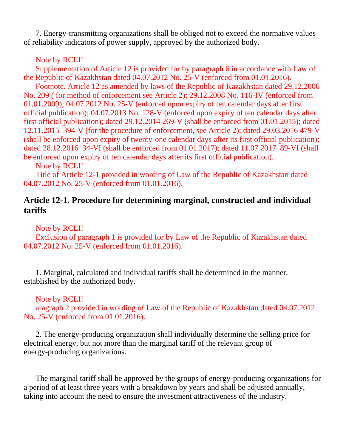7. Energy-transmitting organizations shall be obliged not to exceed the normative values of reliability indicators of power supply, approved by the authorized body.

### Note by RCLI!

 Supplementation of Article 12 is provided for by paragraph 6 in accordance with Law of the Republic of Kazakhstan dated 04.07.2012 No. 25-V (enforced from 01.01.2016). Footnote. Article 12 as amended by laws of the Republic of Kazakhstan dated 29.12.2006 No. 209 ( for method of enforcement see Article 2); 29.12.2008 No. 116-IV (enforced from 01.01.2009); 04.07.2012 No. 25-V (enforced upon expiry of ten calendar days after first official publication); 04.07.2013 No. 128-V (enforced upon expiry of ten calendar days after first official publication); dated 29.12.2014 269-V (shall be enforced from 01.01.2015); dated 12.11.2015 394-V (for the procedure of enforcement, see Article 2); dated 29.03.2016 479-V (shall be enforced upon expiry of twenty-one calendar days after its first official publication); dated 28.12.2016 34-VI (shall be enforced from 01.01.2017); dated 11.07.2017 89-VI (shall be enforced upon expiry of ten calendar days after its first official publication).

Note by RCLI!

 Title of Article 12-1 provided in wording of Law of the Republic of Kazakhstan dated 04.07.2012 No. 25-V (enforced from 01.01.2016).

## **Article 12-1. Procedure for determining marginal, constructed and individual tariffs**

Note by RCLI!

 Exclusion of paragraph 1 is provided for by Law of the Republic of Kazakhstan dated 04.07.2012 No. 25-V (enforced from 01.01.2016).

 1. Marginal, calculated and individual tariffs shall be determined in the manner, established by the authorized body.

### Note by RCLI!

 aragraph 2 provided in wording of Law of the Republic of Kazakhstan dated 04.07.2012 No. 25-V (enforced from 01.01.2016).

 2. The energy-producing organization shall individually determine the selling price for electrical energy, but not more than the marginal tariff of the relevant group of energy-producing organizations.

 The marginal tariff shall be approved by the groups of energy-producing organizations for a period of at least three years with a breakdown by years and shall be adjusted annually, taking into account the need to ensure the investment attractiveness of the industry.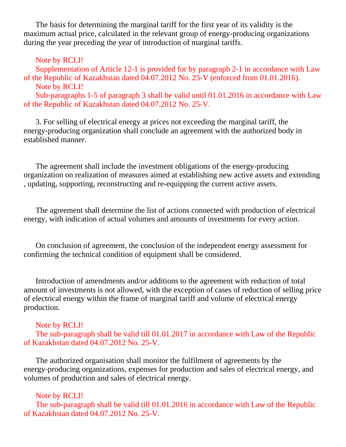The basis for determining the marginal tariff for the first year of its validity is the maximum actual price, calculated in the relevant group of energy-producing organizations during the year preceding the year of introduction of marginal tariffs.

Note by RCLI!

 Supplementation of Article 12-1 is provided for by paragraph 2-1 in accordance with Law of the Republic of Kazakhstan dated 04.07.2012 No. 25-V (enforced from 01.01.2016). Note by RCLI!

 Sub-paragraphs 1-5 of paragraph 3 shall be valid until 01.01.2016 in accordance with Law of the Republic of Kazakhstan dated 04.07.2012 No. 25-V.

 3. For selling of electrical energy at prices not exceeding the marginal tariff, the energy-producing organization shall conclude an agreement with the authorized body in established manner.

 The agreement shall include the investment obligations of the energy-producing organization on realization of measures aimed at establishing new active assets and extending , updating, supporting, reconstructing and re-equipping the current active assets.

 The agreement shall determine the list of actions connected with production of electrical energy, with indication of actual volumes and amounts of investments for every action.

 On conclusion of agreement, the conclusion of the independent energy assessment for confirming the technical condition of equipment shall be considered.

 Introduction of amendments and/or additions to the agreement with reduction of total amount of investments is not allowed, with the exception of cases of reduction of selling price of electrical energy within the frame of marginal tariff and volume of electrical energy production.

Note by RCLI!

 The sub-paragraph shall be valid till 01.01.2017 in accordance with Law of the Republic of Kazakhstan dated 04.07.2012 No. 25-V.

 The authorized organisation shall monitor the fulfilment of agreements by the energy-producing organizations, expenses for production and sales of electrical energy, and volumes of production and sales of electrical energy.

Note by RCLI!

 The sub-paragraph shall be valid till 01.01.2016 in accordance with Law of the Republic of Kazakhstan dated 04.07.2012 No. 25-V.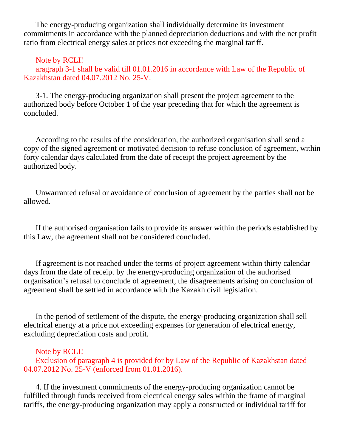The energy-producing organization shall individually determine its investment commitments in accordance with the planned depreciation deductions and with the net profit ratio from electrical energy sales at prices not exceeding the marginal tariff.

#### Note by RCLI!

 aragraph 3-1 shall be valid till 01.01.2016 in accordance with Law of the Republic of Kazakhstan dated 04.07.2012 No. 25-V.

 3-1. The energy-producing organization shall present the project agreement to the authorized body before October 1 of the year preceding that for which the agreement is concluded.

 According to the results of the consideration, the authorized organisation shall send a copy of the signed agreement or motivated decision to refuse conclusion of agreement, within forty calendar days calculated from the date of receipt the project agreement by the authorized body.

 Unwarranted refusal or avoidance of conclusion of agreement by the parties shall not be allowed.

 If the authorised organisation fails to provide its answer within the periods established by this Law, the agreement shall not be considered concluded.

 If agreement is not reached under the terms of project agreement within thirty calendar days from the date of receipt by the energy-producing organization of the authorised organisation's refusal to conclude of agreement, the disagreements arising on conclusion of agreement shall be settled in accordance with the Kazakh civil legislation.

 In the period of settlement of the dispute, the energy-producing organization shall sell electrical energy at a price not exceeding expenses for generation of electrical energy, excluding depreciation costs and profit.

#### Note by RCLI!

 Exclusion of paragraph 4 is provided for by Law of the Republic of Kazakhstan dated 04.07.2012 No. 25-V (enforced from 01.01.2016).

 4. If the investment commitments of the energy-producing organization cannot be fulfilled through funds received from electrical energy sales within the frame of marginal tariffs, the energy-producing organization may apply a constructed or individual tariff for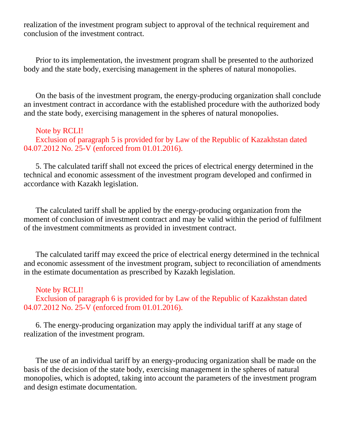realization of the investment program subject to approval of the technical requirement and conclusion of the investment contract.

 Prior to its implementation, the investment program shall be presented to the authorized body and the state body, exercising management in the spheres of natural monopolies.

 On the basis of the investment program, the energy-producing organization shall conclude an investment contract in accordance with the established procedure with the authorized body and the state body, exercising management in the spheres of natural monopolies.

#### Note by RCLI!

 Exclusion of paragraph 5 is provided for by Law of the Republic of Kazakhstan dated 04.07.2012 No. 25-V (enforced from 01.01.2016).

 5. The calculated tariff shall not exceed the prices of electrical energy determined in the technical and economic assessment of the investment program developed and confirmed in accordance with Kazakh legislation.

 The calculated tariff shall be applied by the energy-producing organization from the moment of conclusion of investment contract and may be valid within the period of fulfilment of the investment commitments as provided in investment contract.

 The calculated tariff may exceed the price of electrical energy determined in the technical and economic assessment of the investment program, subject to reconciliation of amendments in the estimate documentation as prescribed by Kazakh legislation.

#### Note by RCLI!

 Exclusion of paragraph 6 is provided for by Law of the Republic of Kazakhstan dated 04.07.2012 No. 25-V (enforced from 01.01.2016).

 6. The energy-producing organization may apply the individual tariff at any stage of realization of the investment program.

 The use of an individual tariff by an energy-producing organization shall be made on the basis of the decision of the state body, exercising management in the spheres of natural monopolies, which is adopted, taking into account the parameters of the investment program and design estimate documentation.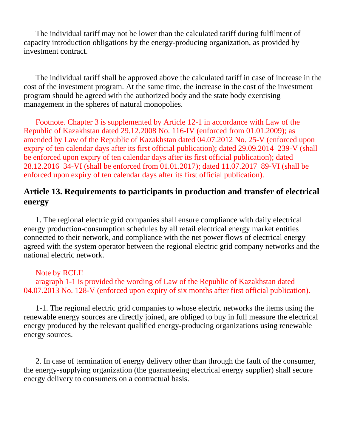The individual tariff may not be lower than the calculated tariff during fulfilment of capacity introduction obligations by the energy-producing organization, as provided by investment contract.

 The individual tariff shall be approved above the calculated tariff in case of increase in the cost of the investment program. At the same time, the increase in the cost of the investment program should be agreed with the authorized body and the state body exercising management in the spheres of natural monopolies.

 Footnote. Chapter 3 is supplemented by Article 12-1 in accordance with Law of the Republic of Kazakhstan dated 29.12.2008 No. 116-IV (enforced from 01.01.2009); as amended by Law of the Republic of Kazakhstan dated 04.07.2012 No. 25-V (enforced upon expiry of ten calendar days after its first official publication); dated 29.09.2014 239-V (shall be enforced upon expiry of ten calendar days after its first official publication); dated 28.12.2016 34-VI (shall be enforced from 01.01.2017); dated 11.07.2017 89-VI (shall be enforced upon expiry of ten calendar days after its first official publication).

## **Article 13. Requirements to participants in production and transfer of electrical energy**

 1. The regional electric grid companies shall ensure compliance with daily electrical energy production-consumption schedules by all retail electrical energy market entities connected to their network, and compliance with the net power flows of electrical energy agreed with the system operator between the regional electric grid company networks and the national electric network.

#### Note by RCLI!

 aragraph 1-1 is provided the wording of Law of the Republic of Kazakhstan dated 04.07.2013 No. 128-V (enforced upon expiry of six months after first official publication).

 1-1. The regional electric grid companies to whose electric networks the items using the renewable energy sources are directly joined, are obliged to buy in full measure the electrical energy produced by the relevant qualified energy-producing organizations using renewable energy sources.

 2. In case of termination of energy delivery other than through the fault of the consumer, the energy-supplying organization (the guaranteeing electrical energy supplier) shall secure energy delivery to consumers on a contractual basis.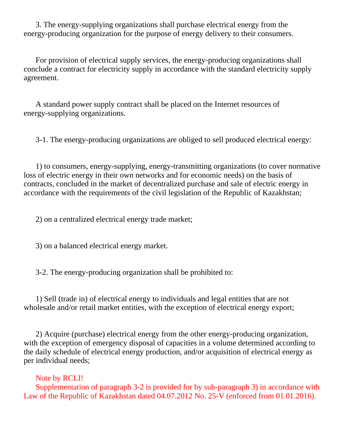3. The energy-supplying organizations shall purchase electrical energy from the energy-producing organization for the purpose of energy delivery to their consumers.

 For provision of electrical supply services, the energy-producing organizations shall conclude a contract for electricity supply in accordance with the standard electricity supply agreement.

 A standard power supply contract shall be placed on the Internet resources of energy-supplying organizations.

3-1. The energy-producing organizations are obliged to sell produced electrical energy:

 1) to consumers, energy-supplying, energy-transmitting organizations (to cover normative loss of electric energy in their own networks and for economic needs) on the basis of contracts, concluded in the market of decentralized purchase and sale of electric energy in accordance with the requirements of the civil legislation of the Republic of Kazakhstan;

2) on a centralized electrical energy trade market;

3) on a balanced electrical energy market.

3-2. The energy-producing organization shall be prohibited to:

 1) Sell (trade in) of electrical energy to individuals and legal entities that are not wholesale and/or retail market entities, with the exception of electrical energy export;

 2) Acquire (purchase) electrical energy from the other energy-producing organization, with the exception of emergency disposal of capacities in a volume determined according to the daily schedule of electrical energy production, and/or acquisition of electrical energy as per individual needs;

 Note by RCLI! Supplementation of paragraph 3-2 is provided for by sub-paragraph 3) in accordance with Law of the Republic of Kazakhstan dated 04.07.2012 No. 25-V (enforced from 01.01.2016).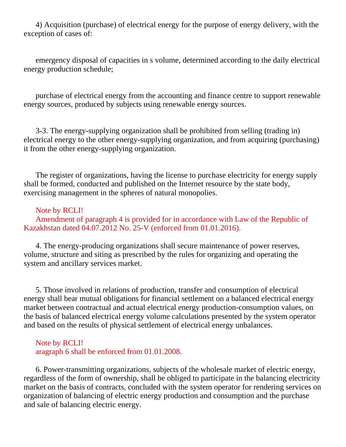4) Acquisition (purchase) of electrical energy for the purpose of energy delivery, with the exception of cases of:

 emergency disposal of capacities in s volume, determined according to the daily electrical energy production schedule;

 purchase of electrical energy from the accounting and finance centre to support renewable energy sources, produced by subjects using renewable energy sources.

 3-3. The energy-supplying organization shall be prohibited from selling (trading in) electrical energy to the other energy-supplying organization, and from acquiring (purchasing) it from the other energy-supplying organization.

 The register of organizations, having the license to purchase electricity for energy supply shall be formed, conducted and published on the Internet resource by the state body, exercising management in the spheres of natural monopolies.

#### Note by RCLI!

 Amendment of paragraph 4 is provided for in accordance with Law of the Republic of Kazakhstan dated 04.07.2012 No. 25-V (enforced from 01.01.2016).

 4. The energy-producing organizations shall secure maintenance of power reserves, volume, structure and siting as prescribed by the rules for organizing and operating the system and ancillary services market.

 5. Those involved in relations of production, transfer and consumption of electrical energy shall bear mutual obligations for financial settlement on a balanced electrical energy market between contractual and actual electrical energy production-consumption values, on the basis of balanced electrical energy volume calculations presented by the system operator and based on the results of physical settlement of electrical energy unbalances.

 Note by RCLI! aragraph 6 shall be enforced from 01.01.2008.

 6. Power-transmitting organizations, subjects of the wholesale market of electric energy, regardless of the form of ownership, shall be obliged to participate in the balancing electricity market on the basis of contracts, concluded with the system operator for rendering services on organization of balancing of electric energy production and consumption and the purchase and sale of balancing electric energy.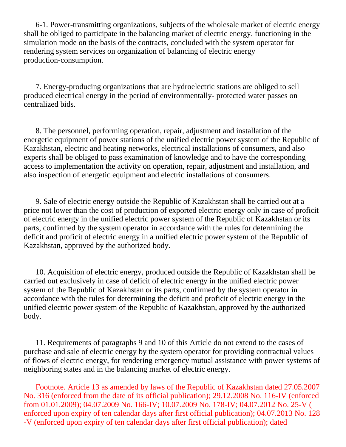6-1. Power-transmitting organizations, subjects of the wholesale market of electric energy shall be obliged to participate in the balancing market of electric energy, functioning in the simulation mode on the basis of the contracts, concluded with the system operator for rendering system services on organization of balancing of electric energy production-consumption.

 7. Energy-producing organizations that are hydroelectric stations are obliged to sell produced electrical energy in the period of environmentally- protected water passes on centralized bids.

 8. The personnel, performing operation, repair, adjustment and installation of the energetic equipment of power stations of the unified electric power system of the Republic of Kazakhstan, electric and heating networks, electrical installations of consumers, and also experts shall be obliged to pass examination of knowledge and to have the corresponding access to implementation the activity on operation, repair, adjustment and installation, and also inspection of energetic equipment and electric installations of consumers.

 9. Sale of electric energy outside the Republic of Kazakhstan shall be carried out at a price not lower than the cost of production of exported electric energy only in case of proficit of electric energy in the unified electric power system of the Republic of Kazakhstan or its parts, confirmed by the system operator in accordance with the rules for determining the deficit and proficit of electric energy in a unified electric power system of the Republic of Kazakhstan, approved by the authorized body.

 10. Acquisition of electric energy, produced outside the Republic of Kazakhstan shall be carried out exclusively in case of deficit of electric energy in the unified electric power system of the Republic of Kazakhstan or its parts, confirmed by the system operator in accordance with the rules for determining the deficit and proficit of electric energy in the unified electric power system of the Republic of Kazakhstan, approved by the authorized body.

 11. Requirements of paragraphs 9 and 10 of this Article do not extend to the cases of purchase and sale of electric energy by the system operator for providing contractual values of flows of electric energy, for rendering emergency mutual assistance with power systems of neighboring states and in the balancing market of electric energy.

 Footnote. Article 13 as amended by laws of the Republic of Kazakhstan dated 27.05.2007 No. 316 (enforced from the date of its official publication); 29.12.2008 No. 116-IV (enforced from 01.01.2009); 04.07.2009 No. 166-IV; 10.07.2009 No. 178-IV; 04.07.2012 No. 25-V ( enforced upon expiry of ten calendar days after first official publication); 04.07.2013 No. 128 -V (enforced upon expiry of ten calendar days after first official publication); dated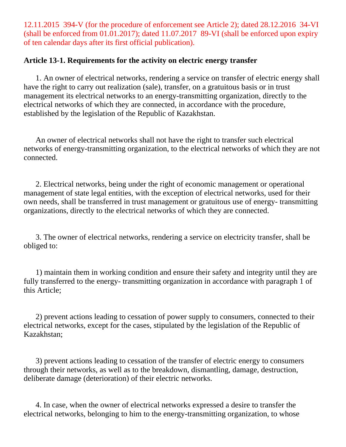12.11.2015 394-V (for the procedure of enforcement see Article 2); dated 28.12.2016 34-VI (shall be enforced from 01.01.2017); dated 11.07.2017 89-VI (shall be enforced upon expiry of ten calendar days after its first official publication).

### **Article 13-1. Requirements for the activity on electric energy transfer**

 1. An owner of electrical networks, rendering a service on transfer of electric energy shall have the right to carry out realization (sale), transfer, on a gratuitous basis or in trust management its electrical networks to an energy-transmitting organization, directly to the electrical networks of which they are connected, in accordance with the procedure, established by the legislation of the Republic of Kazakhstan.

 An owner of electrical networks shall not have the right to transfer such electrical networks of energy-transmitting organization, to the electrical networks of which they are not connected.

 2. Electrical networks, being under the right of economic management or operational management of state legal entities, with the exception of electrical networks, used for their own needs, shall be transferred in trust management or gratuitous use of energy- transmitting organizations, directly to the electrical networks of which they are connected.

 3. The owner of electrical networks, rendering a service on electricity transfer, shall be obliged to:

 1) maintain them in working condition and ensure their safety and integrity until they are fully transferred to the energy- transmitting organization in accordance with paragraph 1 of this Article;

 2) prevent actions leading to cessation of power supply to consumers, connected to their electrical networks, except for the cases, stipulated by the legislation of the Republic of Kazakhstan;

 3) prevent actions leading to cessation of the transfer of electric energy to consumers through their networks, as well as to the breakdown, dismantling, damage, destruction, deliberate damage (deterioration) of their electric networks.

 4. In case, when the owner of electrical networks expressed a desire to transfer the electrical networks, belonging to him to the energy-transmitting organization, to whose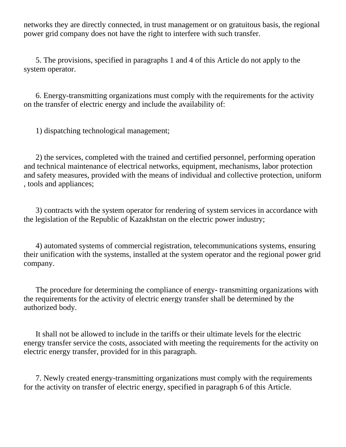networks they are directly connected, in trust management or on gratuitous basis, the regional power grid company does not have the right to interfere with such transfer.

 5. The provisions, specified in paragraphs 1 and 4 of this Article do not apply to the system operator.

 6. Energy-transmitting organizations must comply with the requirements for the activity on the transfer of electric energy and include the availability of:

1) dispatching technological management;

 2) the services, completed with the trained and certified personnel, performing operation and technical maintenance of electrical networks, equipment, mechanisms, labor protection and safety measures, provided with the means of individual and collective protection, uniform , tools and appliances;

 3) contracts with the system operator for rendering of system services in accordance with the legislation of the Republic of Kazakhstan on the electric power industry;

 4) automated systems of commercial registration, telecommunications systems, ensuring their unification with the systems, installed at the system operator and the regional power grid company.

 The procedure for determining the compliance of energy- transmitting organizations with the requirements for the activity of electric energy transfer shall be determined by the authorized body.

 It shall not be allowed to include in the tariffs or their ultimate levels for the electric energy transfer service the costs, associated with meeting the requirements for the activity on electric energy transfer, provided for in this paragraph.

 7. Newly created energy-transmitting organizations must comply with the requirements for the activity on transfer of electric energy, specified in paragraph 6 of this Article.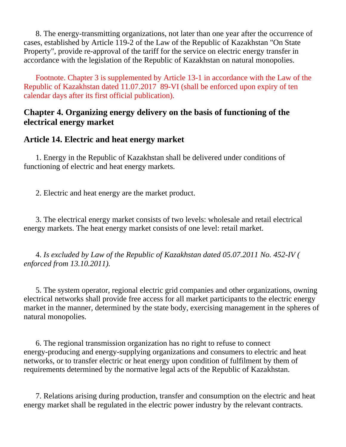8. The energy-transmitting organizations, not later than one year after the occurrence of cases, established by Article 119-2 of the Law of the Republic of Kazakhstan "On State Property", provide re-approval of the tariff for the service on electric energy transfer in accordance with the legislation of the Republic of Kazakhstan on natural monopolies.

 Footnote. Chapter 3 is supplemented by Article 13-1 in accordance with the Law of the Republic of Kazakhstan dated 11.07.2017 89-VI (shall be enforced upon expiry of ten calendar days after its first official publication).

## **Chapter 4. Organizing energy delivery on the basis of functioning of the electrical energy market**

### **Article 14. Electric and heat energy market**

 1. Energy in the Republic of Kazakhstan shall be delivered under conditions of functioning of electric and heat energy markets.

2. Electric and heat energy are the market product.

 3. The electrical energy market consists of two levels: wholesale and retail electrical energy markets. The heat energy market consists of one level: retail market.

 4. *Is excluded by Law of the Republic of Kazakhstan dated 05.07.2011 No. 452-IV ( enforced from 13.10.2011).*

 5. The system operator, regional electric grid companies and other organizations, owning electrical networks shall provide free access for all market participants to the electric energy market in the manner, determined by the state body, exercising management in the spheres of natural monopolies.

 6. The regional transmission organization has no right to refuse to connect energy-producing and energy-supplying organizations and consumers to electric and heat networks, or to transfer electric or heat energy upon condition of fulfilment by them of requirements determined by the normative legal acts of the Republic of Kazakhstan.

 7. Relations arising during production, transfer and consumption on the electric and heat energy market shall be regulated in the electric power industry by the relevant contracts.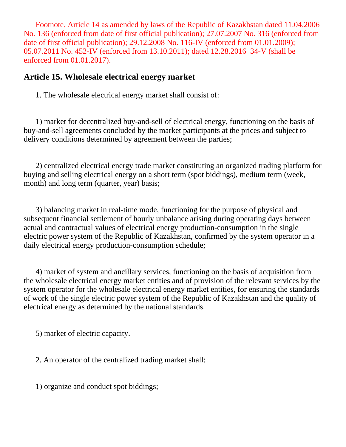Footnote. Article 14 as amended by laws of the Republic of Kazakhstan dated 11.04.2006 No. 136 (enforced from date of first official publication); 27.07.2007 No. 316 (enforced from date of first official publication); 29.12.2008 No. 116-IV (enforced from 01.01.2009); 05.07.2011 No. 452-IV (enforced from 13.10.2011); dated 12.28.2016 34-V (shall be enforced from 01.01.2017).

### **Article 15. Wholesale electrical energy market**

1. The wholesale electrical energy market shall consist of:

 1) market for decentralized buy-and-sell of electrical energy, functioning on the basis of buy-and-sell agreements concluded by the market participants at the prices and subject to delivery conditions determined by agreement between the parties;

 2) centralized electrical energy trade market constituting an organized trading platform for buying and selling electrical energy on a short term (spot biddings), medium term (week, month) and long term (quarter, year) basis;

 3) balancing market in real-time mode, functioning for the purpose of physical and subsequent financial settlement of hourly unbalance arising during operating days between actual and contractual values of electrical energy production-consumption in the single electric power system of the Republic of Kazakhstan, confirmed by the system operator in a daily electrical energy production-consumption schedule;

 4) market of system and ancillary services, functioning on the basis of acquisition from the wholesale electrical energy market entities and of provision of the relevant services by the system operator for the wholesale electrical energy market entities, for ensuring the standards of work of the single electric power system of the Republic of Kazakhstan and the quality of electrical energy as determined by the national standards.

5) market of electric capacity.

2. An operator of the centralized trading market shall:

1) organize and conduct spot biddings;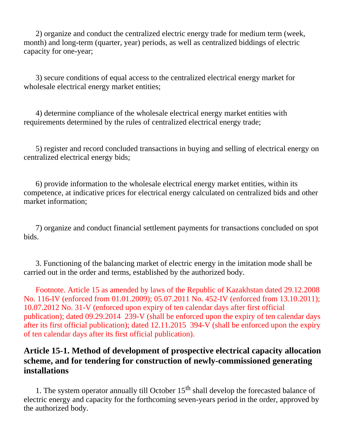2) organize and conduct the centralized electric energy trade for medium term (week, month) and long-term (quarter, year) periods, as well as centralized biddings of electric capacity for one-year;

 3) secure conditions of equal access to the centralized electrical energy market for wholesale electrical energy market entities;

 4) determine compliance of the wholesale electrical energy market entities with requirements determined by the rules of centralized electrical energy trade;

 5) register and record concluded transactions in buying and selling of electrical energy on centralized electrical energy bids;

 6) provide information to the wholesale electrical energy market entities, within its competence, at indicative prices for electrical energy calculated on centralized bids and other market information;

 7) organize and conduct financial settlement payments for transactions concluded on spot bids.

 3. Functioning of the balancing market of electric energy in the imitation mode shall be carried out in the order and terms, established by the authorized body.

 Footnote. Article 15 as amended by laws of the Republic of Kazakhstan dated 29.12.2008 No. 116-IV (enforced from 01.01.2009); 05.07.2011 No. 452-IV (enforced from 13.10.2011); 10.07.2012 No. 31-V (enforced upon expiry of ten calendar days after first official publication); dated 09.29.2014 239-V (shall be enforced upon the expiry of ten calendar days after its first official publication); dated 12.11.2015 394-V (shall be enforced upon the expiry of ten calendar days after its first official publication).

# **Article 15-1. Method of development of prospective electrical capacity allocation scheme, and for tendering for construction of newly-commissioned generating installations**

1. The system operator annually till October  $15<sup>th</sup>$  shall develop the forecasted balance of electric energy and capacity for the forthcoming seven-years period in the order, approved by the authorized body.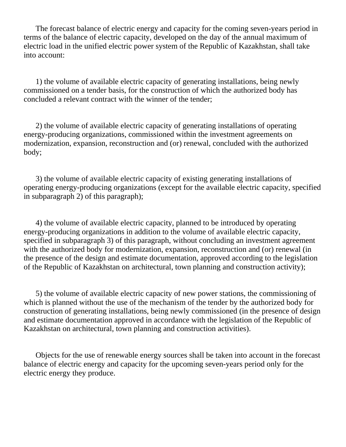The forecast balance of electric energy and capacity for the coming seven-years period in terms of the balance of electric capacity, developed on the day of the annual maximum of electric load in the unified electric power system of the Republic of Kazakhstan, shall take into account:

 1) the volume of available electric capacity of generating installations, being newly commissioned on a tender basis, for the construction of which the authorized body has concluded a relevant contract with the winner of the tender;

 2) the volume of available electric capacity of generating installations of operating energy-producing organizations, commissioned within the investment agreements on modernization, expansion, reconstruction and (or) renewal, concluded with the authorized body;

 3) the volume of available electric capacity of existing generating installations of operating energy-producing organizations (except for the available electric capacity, specified in subparagraph 2) of this paragraph);

 4) the volume of available electric capacity, planned to be introduced by operating energy-producing organizations in addition to the volume of available electric capacity, specified in subparagraph 3) of this paragraph, without concluding an investment agreement with the authorized body for modernization, expansion, reconstruction and (or) renewal (in the presence of the design and estimate documentation, approved according to the legislation of the Republic of Kazakhstan on architectural, town planning and construction activity);

 5) the volume of available electric capacity of new power stations, the commissioning of which is planned without the use of the mechanism of the tender by the authorized body for construction of generating installations, being newly commissioned (in the presence of design and estimate documentation approved in accordance with the legislation of the Republic of Kazakhstan on architectural, town planning and construction activities).

 Objects for the use of renewable energy sources shall be taken into account in the forecast balance of electric energy and capacity for the upcoming seven-years period only for the electric energy they produce.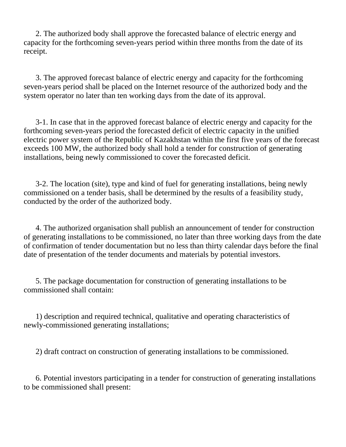2. The authorized body shall approve the forecasted balance of electric energy and capacity for the forthcoming seven-years period within three months from the date of its receipt.

 3. The approved forecast balance of electric energy and capacity for the forthcoming seven-years period shall be placed on the Internet resource of the authorized body and the system operator no later than ten working days from the date of its approval.

 3-1. In case that in the approved forecast balance of electric energy and capacity for the forthcoming seven-years period the forecasted deficit of electric capacity in the unified electric power system of the Republic of Kazakhstan within the first five years of the forecast exceeds 100 MW, the authorized body shall hold a tender for construction of generating installations, being newly commissioned to cover the forecasted deficit.

 3-2. The location (site), type and kind of fuel for generating installations, being newly commissioned on a tender basis, shall be determined by the results of a feasibility study, conducted by the order of the authorized body.

 4. The authorized organisation shall publish an announcement of tender for construction of generating installations to be commissioned, no later than three working days from the date of confirmation of tender documentation but no less than thirty calendar days before the final date of presentation of the tender documents and materials by potential investors.

 5. The package documentation for construction of generating installations to be commissioned shall contain:

 1) description and required technical, qualitative and operating characteristics of newly-commissioned generating installations;

2) draft contract on construction of generating installations to be commissioned.

 6. Potential investors participating in a tender for construction of generating installations to be commissioned shall present: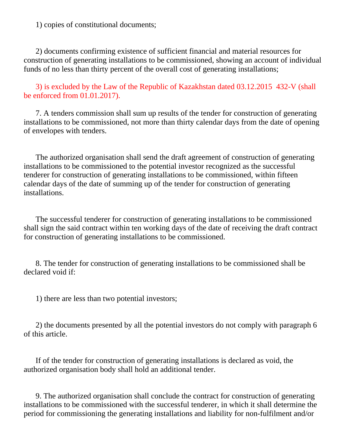1) copies of constitutional documents;

 2) documents confirming existence of sufficient financial and material resources for construction of generating installations to be commissioned, showing an account of individual funds of no less than thirty percent of the overall cost of generating installations;

 3) is excluded by the Law of the Republic of Kazakhstan dated 03.12.2015 432-V (shall be enforced from 01.01.2017).

 7. A tenders commission shall sum up results of the tender for construction of generating installations to be commissioned, not more than thirty calendar days from the date of opening of envelopes with tenders.

 The authorized organisation shall send the draft agreement of construction of generating installations to be commissioned to the potential investor recognized as the successful tenderer for construction of generating installations to be commissioned, within fifteen calendar days of the date of summing up of the tender for construction of generating installations.

 The successful tenderer for construction of generating installations to be commissioned shall sign the said contract within ten working days of the date of receiving the draft contract for construction of generating installations to be commissioned.

 8. The tender for construction of generating installations to be commissioned shall be declared void if:

1) there are less than two potential investors;

 2) the documents presented by all the potential investors do not comply with paragraph 6 of this article.

 If of the tender for construction of generating installations is declared as void, the authorized organisation body shall hold an additional tender.

 9. The authorized organisation shall conclude the contract for construction of generating installations to be commissioned with the successful tenderer, in which it shall determine the period for commissioning the generating installations and liability for non-fulfilment and/or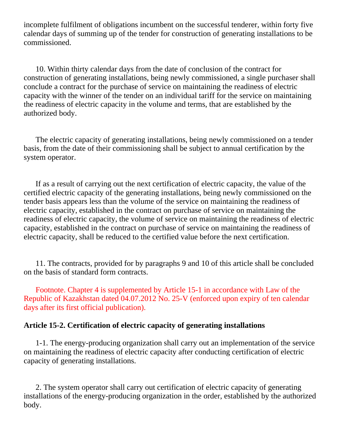incomplete fulfilment of obligations incumbent on the successful tenderer, within forty five calendar days of summing up of the tender for construction of generating installations to be commissioned.

 10. Within thirty calendar days from the date of conclusion of the contract for construction of generating installations, being newly commissioned, a single purchaser shall conclude a contract for the purchase of service on maintaining the readiness of electric capacity with the winner of the tender on an individual tariff for the service on maintaining the readiness of electric capacity in the volume and terms, that are established by the authorized body.

 The electric capacity of generating installations, being newly commissioned on a tender basis, from the date of their commissioning shall be subject to annual certification by the system operator.

 If as a result of carrying out the next certification of electric capacity, the value of the certified electric capacity of the generating installations, being newly commissioned on the tender basis appears less than the volume of the service on maintaining the readiness of electric capacity, established in the contract on purchase of service on maintaining the readiness of electric capacity, the volume of service on maintaining the readiness of electric capacity, established in the contract on purchase of service on maintaining the readiness of electric capacity, shall be reduced to the certified value before the next certification.

 11. The contracts, provided for by paragraphs 9 and 10 of this article shall be concluded on the basis of standard form contracts.

 Footnote. Chapter 4 is supplemented by Article 15-1 in accordance with Law of the Republic of Kazakhstan dated 04.07.2012 No. 25-V (enforced upon expiry of ten calendar days after its first official publication).

### **Article 15-2. Certification of electric capacity of generating installations**

 1-1. The energy-producing organization shall carry out an implementation of the service on maintaining the readiness of electric capacity after conducting certification of electric capacity of generating installations.

 2. The system operator shall carry out certification of electric capacity of generating installations of the energy-producing organization in the order, established by the authorized body.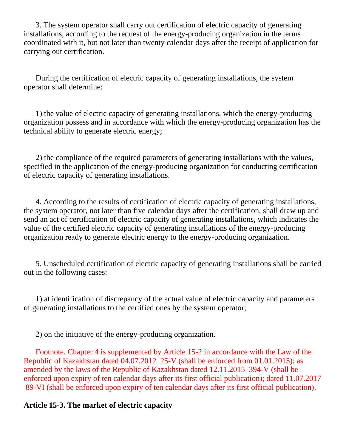3. The system operator shall carry out certification of electric capacity of generating installations, according to the request of the energy-producing organization in the terms coordinated with it, but not later than twenty calendar days after the receipt of application for carrying out certification.

 During the certification of electric capacity of generating installations, the system operator shall determine:

 1) the value of electric capacity of generating installations, which the energy-producing organization possess and in accordance with which the energy-producing organization has the technical ability to generate electric energy;

 2) the compliance of the required parameters of generating installations with the values, specified in the application of the energy-producing organization for conducting certification of electric capacity of generating installations.

 4. According to the results of certification of electric capacity of generating installations, the system operator, not later than five calendar days after the certification, shall draw up and send an act of certification of electric capacity of generating installations, which indicates the value of the certified electric capacity of generating installations of the energy-producing organization ready to generate electric energy to the energy-producing organization.

 5. Unscheduled certification of electric capacity of generating installations shall be carried out in the following cases:

 1) at identification of discrepancy of the actual value of electric capacity and parameters of generating installations to the certified ones by the system operator;

2) on the initiative of the energy-producing organization.

 Footnote. Chapter 4 is supplemented by Article 15-2 in accordance with the Law of the Republic of Kazakhstan dated 04.07.2012 25-V (shall be enforced from 01.01.2015); as amended by the laws of the Republic of Kazakhstan dated 12.11.2015 394-V (shall be enforced upon expiry of ten calendar days after its first official publication); dated 11.07.2017 89-VI (shall be enforced upon expiry of ten calendar days after its first official publication).

### **Article 15-3. The market of electric capacity**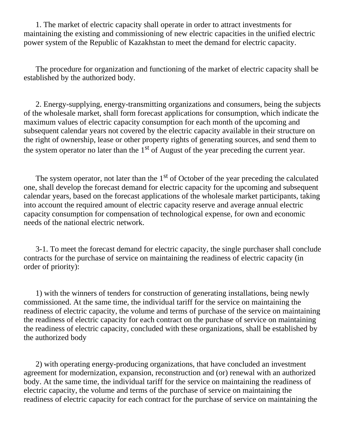1. The market of electric capacity shall operate in order to attract investments for maintaining the existing and commissioning of new electric capacities in the unified electric power system of the Republic of Kazakhstan to meet the demand for electric capacity.

 The procedure for organization and functioning of the market of electric capacity shall be established by the authorized body.

 2. Energy-supplying, energy-transmitting organizations and consumers, being the subjects of the wholesale market, shall form forecast applications for consumption, which indicate the maximum values of electric capacity consumption for each month of the upcoming and subsequent calendar years not covered by the electric capacity available in their structure on the right of ownership, lease or other property rights of generating sources, and send them to the system operator no later than the  $1<sup>st</sup>$  of August of the year preceding the current year.

The system operator, not later than the  $1<sup>st</sup>$  of October of the year preceding the calculated one, shall develop the forecast demand for electric capacity for the upcoming and subsequent calendar years, based on the forecast applications of the wholesale market participants, taking into account the required amount of electric capacity reserve and average annual electric capacity consumption for compensation of technological expense, for own and economic needs of the national electric network.

 3-1. To meet the forecast demand for electric capacity, the single purchaser shall conclude contracts for the purchase of service on maintaining the readiness of electric capacity (in order of priority):

 1) with the winners of tenders for construction of generating installations, being newly commissioned. At the same time, the individual tariff for the service on maintaining the readiness of electric capacity, the volume and terms of purchase of the service on maintaining the readiness of electric capacity for each contract on the purchase of service on maintaining the readiness of electric capacity, concluded with these organizations, shall be established by the authorized body

 2) with operating energy-producing organizations, that have concluded an investment agreement for modernization, expansion, reconstruction and (or) renewal with an authorized body. At the same time, the individual tariff for the service on maintaining the readiness of electric capacity, the volume and terms of the purchase of service on maintaining the readiness of electric capacity for each contract for the purchase of service on maintaining the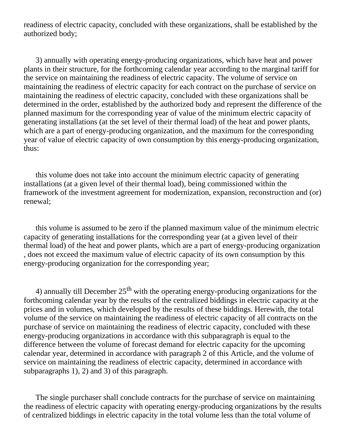readiness of electric capacity, concluded with these organizations, shall be established by the authorized body;

 3) annually with operating energy-producing organizations, which have heat and power plants in their structure, for the forthcoming calendar year according to the marginal tariff for the service on maintaining the readiness of electric capacity. The volume of service on maintaining the readiness of electric capacity for each contract on the purchase of service on maintaining the readiness of electric capacity, concluded with these organizations shall be determined in the order, established by the authorized body and represent the difference of the planned maximum for the corresponding year of value of the minimum electric capacity of generating installations (at the set level of their thermal load) of the heat and power plants, which are a part of energy-producing organization, and the maximum for the corresponding year of value of electric capacity of own consumption by this energy-producing organization, thus:

 this volume does not take into account the minimum electric capacity of generating installations (at a given level of their thermal load), being commissioned within the framework of the investment agreement for modernization, expansion, reconstruction and (or) renewal;

 this volume is assumed to be zero if the planned maximum value of the minimum electric capacity of generating installations for the corresponding year (at a given level of their thermal load) of the heat and power plants, which are a part of energy-producing organization , does not exceed the maximum value of electric capacity of its own consumption by this energy-producing organization for the corresponding year;

4) annually till December  $25<sup>th</sup>$  with the operating energy-producing organizations for the forthcoming calendar year by the results of the centralized biddings in electric capacity at the prices and in volumes, which developed by the results of these biddings. Herewith, the total volume of the service on maintaining the readiness of electric capacity of all contracts on the purchase of service on maintaining the readiness of electric capacity, concluded with these energy-producing organizations in accordance with this subparagraph is equal to the difference between the volume of forecast demand for electric capacity for the upcoming calendar year, determined in accordance with paragraph 2 of this Article, and the volume of service on maintaining the readiness of electric capacity, determined in accordance with subparagraphs 1), 2) and 3) of this paragraph.

 The single purchaser shall conclude contracts for the purchase of service on maintaining the readiness of electric capacity with operating energy-producing organizations by the results of centralized biddings in electric capacity in the total volume less than the total volume of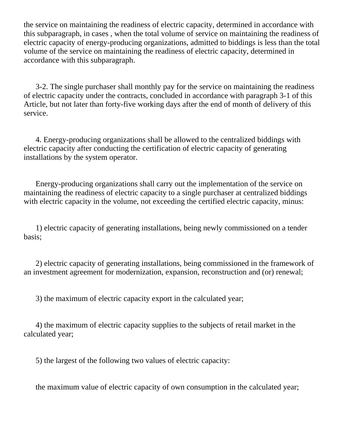the service on maintaining the readiness of electric capacity, determined in accordance with this subparagraph, in cases , when the total volume of service on maintaining the readiness of electric capacity of energy-producing organizations, admitted to biddings is less than the total volume of the service on maintaining the readiness of electric capacity, determined in accordance with this subparagraph.

 3-2. The single purchaser shall monthly pay for the service on maintaining the readiness of electric capacity under the contracts, concluded in accordance with paragraph 3-1 of this Article, but not later than forty-five working days after the end of month of delivery of this service.

 4. Energy-producing organizations shall be allowed to the centralized biddings with electric capacity after conducting the certification of electric capacity of generating installations by the system operator.

 Energy-producing organizations shall carry out the implementation of the service on maintaining the readiness of electric capacity to a single purchaser at centralized biddings with electric capacity in the volume, not exceeding the certified electric capacity, minus:

 1) electric capacity of generating installations, being newly commissioned on a tender basis;

 2) electric capacity of generating installations, being commissioned in the framework of an investment agreement for modernization, expansion, reconstruction and (or) renewal;

3) the maximum of electric capacity export in the calculated year;

 4) the maximum of electric capacity supplies to the subjects of retail market in the calculated year;

5) the largest of the following two values of electric capacity:

the maximum value of electric capacity of own consumption in the calculated year;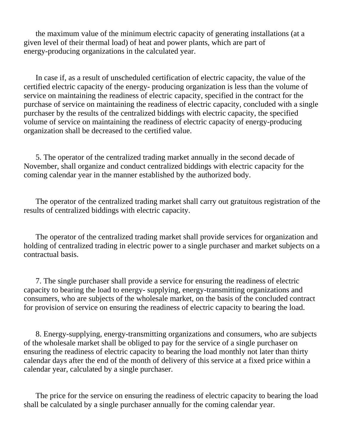the maximum value of the minimum electric capacity of generating installations (at a given level of their thermal load) of heat and power plants, which are part of energy-producing organizations in the calculated year.

 In case if, as a result of unscheduled certification of electric capacity, the value of the certified electric capacity of the energy- producing organization is less than the volume of service on maintaining the readiness of electric capacity, specified in the contract for the purchase of service on maintaining the readiness of electric capacity, concluded with a single purchaser by the results of the centralized biddings with electric capacity, the specified volume of service on maintaining the readiness of electric capacity of energy-producing organization shall be decreased to the certified value.

 5. The operator of the centralized trading market annually in the second decade of November, shall organize and conduct centralized biddings with electric capacity for the coming calendar year in the manner established by the authorized body.

 The operator of the centralized trading market shall carry out gratuitous registration of the results of centralized biddings with electric capacity.

 The operator of the centralized trading market shall provide services for organization and holding of centralized trading in electric power to a single purchaser and market subjects on a contractual basis.

 7. The single purchaser shall provide a service for ensuring the readiness of electric capacity to bearing the load to energy- supplying, energy-transmitting organizations and consumers, who are subjects of the wholesale market, on the basis of the concluded contract for provision of service on ensuring the readiness of electric capacity to bearing the load.

 8. Energy-supplying, energy-transmitting organizations and consumers, who are subjects of the wholesale market shall be obliged to pay for the service of a single purchaser on ensuring the readiness of electric capacity to bearing the load monthly not later than thirty calendar days after the end of the month of delivery of this service at a fixed price within a calendar year, calculated by a single purchaser.

 The price for the service on ensuring the readiness of electric capacity to bearing the load shall be calculated by a single purchaser annually for the coming calendar year.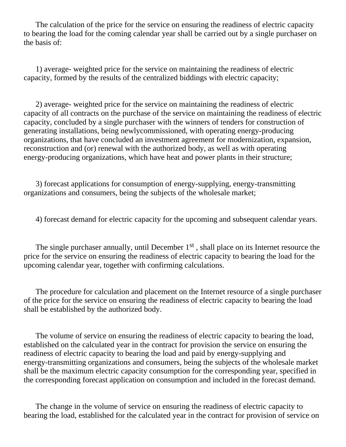The calculation of the price for the service on ensuring the readiness of electric capacity to bearing the load for the coming calendar year shall be carried out by a single purchaser on the basis of:

 1) average- weighted price for the service on maintaining the readiness of electric capacity, formed by the results of the centralized biddings with electric capacity;

 2) average- weighted price for the service on maintaining the readiness of electric capacity of all contracts on the purchase of the service on maintaining the readiness of electric capacity, concluded by a single purchaser with the winners of tenders for construction of generating installations, being newlycommissioned, with operating energy-producing organizations, that have concluded an investment agreement for modernization, expansion, reconstruction and (or) renewal with the authorized body, as well as with operating energy-producing organizations, which have heat and power plants in their structure;

 3) forecast applications for consumption of energy-supplying, energy-transmitting organizations and consumers, being the subjects of the wholesale market;

4) forecast demand for electric capacity for the upcoming and subsequent calendar years.

The single purchaser annually, until December  $1<sup>st</sup>$ , shall place on its Internet resource the price for the service on ensuring the readiness of electric capacity to bearing the load for the upcoming calendar year, together with confirming calculations.

 The procedure for calculation and placement on the Internet resource of a single purchaser of the price for the service on ensuring the readiness of electric capacity to bearing the load shall be established by the authorized body.

 The volume of service on ensuring the readiness of electric capacity to bearing the load, established on the calculated year in the contract for provision the service on ensuring the readiness of electric capacity to bearing the load and paid by energy-supplying and energy-transmitting organizations and consumers, being the subjects of the wholesale market shall be the maximum electric capacity consumption for the corresponding year, specified in the corresponding forecast application on consumption and included in the forecast demand.

 The change in the volume of service on ensuring the readiness of electric capacity to bearing the load, established for the calculated year in the contract for provision of service on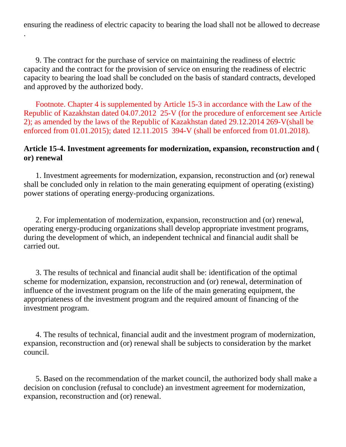ensuring the readiness of electric capacity to bearing the load shall not be allowed to decrease

.

 9. The contract for the purchase of service on maintaining the readiness of electric capacity and the contract for the provision of service on ensuring the readiness of electric capacity to bearing the load shall be concluded on the basis of standard contracts, developed and approved by the authorized body.

 Footnote. Chapter 4 is supplemented by Article 15-3 in accordance with the Law of the Republic of Kazakhstan dated 04.07.2012 25-V (for the procedure of enforcement see Article 2); as amended by the laws of the Republic of Kazakhstan dated 29.12.2014 269-V(shall be enforced from 01.01.2015); dated 12.11.2015 394-V (shall be enforced from 01.01.2018).

#### **Article 15-4. Investment agreements for modernization, expansion, reconstruction and ( or) renewal**

 1. Investment agreements for modernization, expansion, reconstruction and (or) renewal shall be concluded only in relation to the main generating equipment of operating (existing) power stations of operating energy-producing organizations.

 2. For implementation of modernization, expansion, reconstruction and (or) renewal, operating energy-producing organizations shall develop appropriate investment programs, during the development of which, an independent technical and financial audit shall be carried out.

 3. The results of technical and financial audit shall be: identification of the optimal scheme for modernization, expansion, reconstruction and (or) renewal, determination of influence of the investment program on the life of the main generating equipment, the appropriateness of the investment program and the required amount of financing of the investment program.

 4. The results of technical, financial audit and the investment program of modernization, expansion, reconstruction and (or) renewal shall be subjects to consideration by the market council.

 5. Based on the recommendation of the market council, the authorized body shall make a decision on conclusion (refusal to conclude) an investment agreement for modernization, expansion, reconstruction and (or) renewal.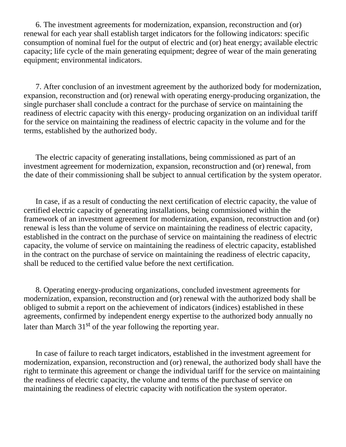6. The investment agreements for modernization, expansion, reconstruction and (or) renewal for each year shall establish target indicators for the following indicators: specific consumption of nominal fuel for the output of electric and (or) heat energy; available electric capacity; life cycle of the main generating equipment; degree of wear of the main generating equipment; environmental indicators.

 7. After conclusion of an investment agreement by the authorized body for modernization, expansion, reconstruction and (or) renewal with operating energy-producing organization, the single purchaser shall conclude a contract for the purchase of service on maintaining the readiness of electric capacity with this energy- producing organization on an individual tariff for the service on maintaining the readiness of electric capacity in the volume and for the terms, established by the authorized body.

 The electric capacity of generating installations, being commissioned as part of an investment agreement for modernization, expansion, reconstruction and (or) renewal, from the date of their commissioning shall be subject to annual certification by the system operator.

 In case, if as a result of conducting the next certification of electric capacity, the value of certified electric capacity of generating installations, being commissioned within the framework of an investment agreement for modernization, expansion, reconstruction and (or) renewal is less than the volume of service on maintaining the readiness of electric capacity, established in the contract on the purchase of service on maintaining the readiness of electric capacity, the volume of service on maintaining the readiness of electric capacity, established in the contract on the purchase of service on maintaining the readiness of electric capacity, shall be reduced to the certified value before the next certification.

 8. Operating energy-producing organizations, concluded investment agreements for modernization, expansion, reconstruction and (or) renewal with the authorized body shall be obliged to submit a report on the achievement of indicators (indices) established in these agreements, confirmed by independent energy expertise to the authorized body annually no later than March  $31<sup>st</sup>$  of the year following the reporting year.

 In case of failure to reach target indicators, established in the investment agreement for modernization, expansion, reconstruction and (or) renewal, the authorized body shall have the right to terminate this agreement or change the individual tariff for the service on maintaining the readiness of electric capacity, the volume and terms of the purchase of service on maintaining the readiness of electric capacity with notification the system operator.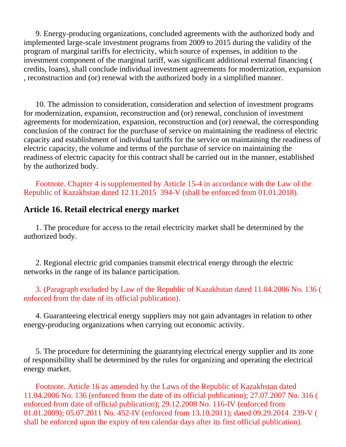9. Energy-producing organizations, concluded agreements with the authorized body and implemented large-scale investment programs from 2009 to 2015 during the validity of the program of marginal tariffs for electricity, which source of expenses, in addition to the investment component of the marginal tariff, was significant additional external financing ( credits, loans), shall conclude individual investment agreements for modernization, expansion , reconstruction and (or) renewal with the authorized body in a simplified manner.

 10. The admission to consideration, consideration and selection of investment programs for modernization, expansion, reconstruction and (or) renewal, conclusion of investment agreements for modernization, expansion, reconstruction and (or) renewal, the corresponding conclusion of the contract for the purchase of service on maintaining the readiness of electric capacity and establishment of individual tariffs for the service on maintaining the readiness of electric capacity, the volume and terms of the purchase of service on maintaining the readiness of electric capacity for this contract shall be carried out in the manner, established by the authorized body.

 Footnote. Chapter 4 is supplemented by Article 15-4 in accordance with the Law of the Republic of Kazakhstan dated 12.11.2015 394-V (shall be enforced from 01.01.2018).

#### **Article 16. Retail electrical energy market**

 1. The procedure for access to the retail electricity market shall be determined by the authorized body.

 2. Regional electric grid companies transmit electrical energy through the electric networks in the range of its balance participation.

#### 3. (Paragraph excluded by Law of the Republic of Kazakhstan dated 11.04.2006 No. 136 ( enforced from the date of its official publication).

 4. Guaranteeing electrical energy suppliers may not gain advantages in relation to other energy-producing organizations when carrying out economic activity.

 5. The procedure for determining the guarantying electrical energy supplier and its zone of responsibility shall be determined by the rules for organizing and operating the electrical energy market.

 Footnote. Article 16 as amended by the Laws of the Republic of Kazakhstan dated 11.04.2006 No. 136 (enforced from the date of its official publication); 27.07.2007 No. 316 ( enforced from date of official publication); 29.12.2008 No. 116-IV (enforced from 01.01.2009); 05.07.2011 No. 452-IV (enforced from 13.10.2011); dated 09.29.2014 239-V ( shall be enforced upon the expiry of ten calendar days after its first official publication).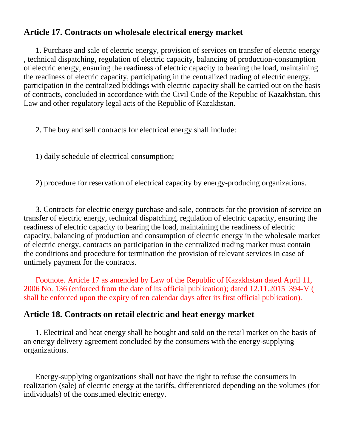## **Article 17. Contracts on wholesale electrical energy market**

 1. Purchase and sale of electric energy, provision of services on transfer of electric energy , technical dispatching, regulation of electric capacity, balancing of production-consumption of electric energy, ensuring the readiness of electric capacity to bearing the load, maintaining the readiness of electric capacity, participating in the centralized trading of electric energy, participation in the centralized biddings with electric capacity shall be carried out on the basis of contracts, concluded in accordance with the Civil Code of the Republic of Kazakhstan, this Law and other regulatory legal acts of the Republic of Kazakhstan.

2. The buy and sell contracts for electrical energy shall include:

1) daily schedule of electrical consumption;

2) procedure for reservation of electrical capacity by energy-producing organizations.

 3. Contracts for electric energy purchase and sale, contracts for the provision of service on transfer of electric energy, technical dispatching, regulation of electric capacity, ensuring the readiness of electric capacity to bearing the load, maintaining the readiness of electric capacity, balancing of production and consumption of electric energy in the wholesale market of electric energy, contracts on participation in the centralized trading market must contain the conditions and procedure for termination the provision of relevant services in case of untimely payment for the contracts.

 Footnote. Article 17 as amended by Law of the Republic of Kazakhstan dated April 11, 2006 No. 136 (enforced from the date of its official publication); dated 12.11.2015 394-V ( shall be enforced upon the expiry of ten calendar days after its first official publication).

## **Article 18. Contracts on retail electric and heat energy market**

 1. Electrical and heat energy shall be bought and sold on the retail market on the basis of an energy delivery agreement concluded by the consumers with the energy-supplying organizations.

 Energy-supplying organizations shall not have the right to refuse the consumers in realization (sale) of electric energy at the tariffs, differentiated depending on the volumes (for individuals) of the consumed electric energy.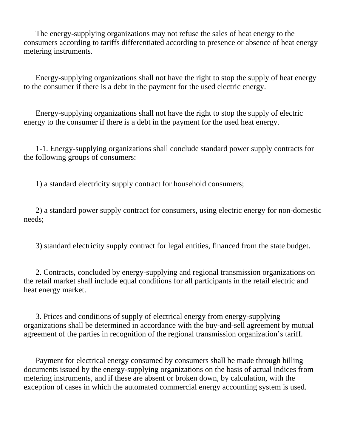The energy-supplying organizations may not refuse the sales of heat energy to the consumers according to tariffs differentiated according to presence or absence of heat energy metering instruments.

 Energy-supplying organizations shall not have the right to stop the supply of heat energy to the consumer if there is a debt in the payment for the used electric energy.

 Energy-supplying organizations shall not have the right to stop the supply of electric energy to the consumer if there is a debt in the payment for the used heat energy.

 1-1. Energy-supplying organizations shall conclude standard power supply contracts for the following groups of consumers:

1) a standard electricity supply contract for household consumers;

 2) a standard power supply contract for consumers, using electric energy for non-domestic needs;

3) standard electricity supply contract for legal entities, financed from the state budget.

 2. Contracts, concluded by energy-supplying and regional transmission organizations on the retail market shall include equal conditions for all participants in the retail electric and heat energy market.

 3. Prices and conditions of supply of electrical energy from energy-supplying organizations shall be determined in accordance with the buy-and-sell agreement by mutual agreement of the parties in recognition of the regional transmission organization's tariff.

 Payment for electrical energy consumed by consumers shall be made through billing documents issued by the energy-supplying organizations on the basis of actual indices from metering instruments, and if these are absent or broken down, by calculation, with the exception of cases in which the automated commercial energy accounting system is used.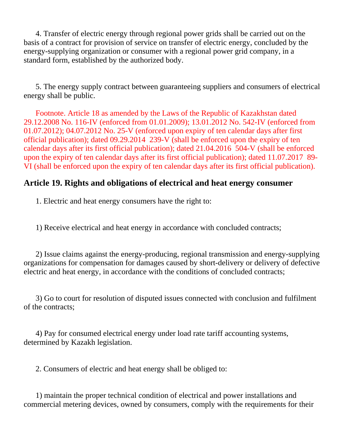4. Transfer of electric energy through regional power grids shall be carried out on the basis of a contract for provision of service on transfer of electric energy, concluded by the energy-supplying organization or consumer with a regional power grid company, in a standard form, established by the authorized body.

 5. The energy supply contract between guaranteeing suppliers and consumers of electrical energy shall be public.

 Footnote. Article 18 as amended by the Laws of the Republic of Kazakhstan dated 29.12.2008 No. 116-IV (enforced from 01.01.2009); 13.01.2012 No. 542-IV (enforced from 01.07.2012); 04.07.2012 No. 25-V (enforced upon expiry of ten calendar days after first official publication); dated 09.29.2014 239-V (shall be enforced upon the expiry of ten calendar days after its first official publication); dated 21.04.2016 504-V (shall be enforced upon the expiry of ten calendar days after its first official publication); dated 11.07.2017 89- VI (shall be enforced upon the expiry of ten calendar days after its first official publication).

## **Article 19. Rights and obligations of electrical and heat energy consumer**

1. Electric and heat energy consumers have the right to:

1) Receive electrical and heat energy in accordance with concluded contracts;

 2) Issue claims against the energy-producing, regional transmission and energy-supplying organizations for compensation for damages caused by short-delivery or delivery of defective electric and heat energy, in accordance with the conditions of concluded contracts;

 3) Go to court for resolution of disputed issues connected with conclusion and fulfilment of the contracts;

 4) Pay for consumed electrical energy under load rate tariff accounting systems, determined by Kazakh legislation.

2. Consumers of electric and heat energy shall be obliged to:

 1) maintain the proper technical condition of electrical and power installations and commercial metering devices, owned by consumers, comply with the requirements for their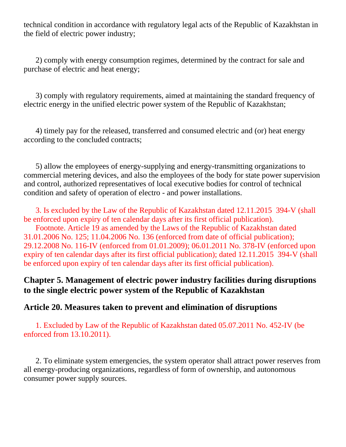technical condition in accordance with regulatory legal acts of the Republic of Kazakhstan in the field of electric power industry;

 2) comply with energy consumption regimes, determined by the contract for sale and purchase of electric and heat energy;

 3) comply with regulatory requirements, aimed at maintaining the standard frequency of electric energy in the unified electric power system of the Republic of Kazakhstan;

 4) timely pay for the released, transferred and consumed electric and (or) heat energy according to the concluded contracts;

 5) allow the employees of energy-supplying and energy-transmitting organizations to commercial metering devices, and also the employees of the body for state power supervision and control, authorized representatives of local executive bodies for control of technical condition and safety of operation of electro - and power installations.

 3. Is excluded by the Law of the Republic of Kazakhstan dated 12.11.2015 394-V (shall be enforced upon expiry of ten calendar days after its first official publication).

 Footnote. Article 19 as amended by the Laws of the Republic of Kazakhstan dated 31.01.2006 No. 125; 11.04.2006 No. 136 (enforced from date of official publication); 29.12.2008 No. 116-IV (enforced from 01.01.2009); 06.01.2011 No. 378-IV (enforced upon expiry of ten calendar days after its first official publication); dated 12.11.2015 394-V (shall be enforced upon expiry of ten calendar days after its first official publication).

## **Chapter 5. Management of electric power industry facilities during disruptions to the single electric power system of the Republic of Kazakhstan**

### **Article 20. Measures taken to prevent and elimination of disruptions**

 1. Excluded by Law of the Republic of Kazakhstan dated 05.07.2011 No. 452-IV (be enforced from 13.10.2011).

 2. To eliminate system emergencies, the system operator shall attract power reserves from all energy-producing organizations, regardless of form of ownership, and autonomous consumer power supply sources.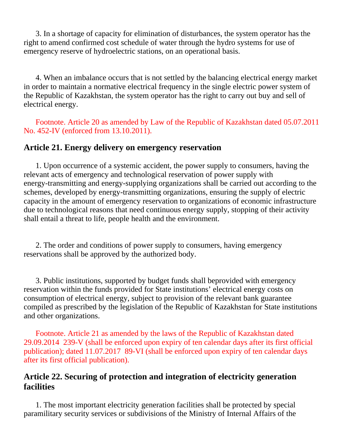3. In a shortage of capacity for elimination of disturbances, the system operator has the right to amend confirmed cost schedule of water through the hydro systems for use of emergency reserve of hydroelectric stations, on an operational basis.

 4. When an imbalance occurs that is not settled by the balancing electrical energy market in order to maintain a normative electrical frequency in the single electric power system of the Republic of Kazakhstan, the system operator has the right to carry out buy and sell of electrical energy.

 Footnote. Article 20 as amended by Law of the Republic of Kazakhstan dated 05.07.2011 No. 452-IV (enforced from 13.10.2011).

### **Article 21. Energy delivery on emergency reservation**

 1. Upon occurrence of a systemic accident, the power supply to consumers, having the relevant acts of emergency and technological reservation of power supply with energy-transmitting and energy-supplying organizations shall be carried out according to the schemes, developed by energy-transmitting organizations, ensuring the supply of electric capacity in the amount of emergency reservation to organizations of economic infrastructure due to technological reasons that need continuous energy supply, stopping of their activity shall entail a threat to life, people health and the environment.

 2. The order and conditions of power supply to consumers, having emergency reservations shall be approved by the authorized body.

 3. Public institutions, supported by budget funds shall beprovided with emergency reservation within the funds provided for State institutions' electrical energy costs on consumption of electrical energy, subject to provision of the relevant bank guarantee compiled as prescribed by the legislation of the Republic of Kazakhstan for State institutions and other organizations.

 Footnote. Article 21 as amended by the laws of the Republic of Kazakhstan dated 29.09.2014 239-V (shall be enforced upon expiry of ten calendar days after its first official publication); dated 11.07.2017 89-VI (shall be enforced upon expiry of ten calendar days after its first official publication).

### **Article 22. Securing of protection and integration of electricity generation facilities**

 1. The most important electricity generation facilities shall be protected by special paramilitary security services or subdivisions of the Ministry of Internal Affairs of the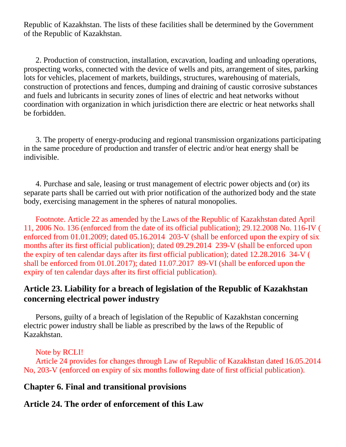Republic of Kazakhstan. The lists of these facilities shall be determined by the Government of the Republic of Kazakhstan.

 2. Production of construction, installation, excavation, loading and unloading operations, prospecting works, connected with the device of wells and pits, arrangement of sites, parking lots for vehicles, placement of markets, buildings, structures, warehousing of materials, construction of protections and fences, dumping and draining of caustic corrosive substances and fuels and lubricants in security zones of lines of electric and heat networks without coordination with organization in which jurisdiction there are electric or heat networks shall be forbidden.

 3. The property of energy-producing and regional transmission organizations participating in the same procedure of production and transfer of electric and/or heat energy shall be indivisible.

 4. Purchase and sale, leasing or trust management of electric power objects and (or) its separate parts shall be carried out with prior notification of the authorized body and the state body, exercising management in the spheres of natural monopolies.

 Footnote. Article 22 as amended by the Laws of the Republic of Kazakhstan dated April 11, 2006 No. 136 (enforced from the date of its official publication); 29.12.2008 No. 116-IV ( enforced from 01.01.2009; dated 05.16.2014 203-V (shall be enforced upon the expiry of six months after its first official publication); dated 09.29.2014 239-V (shall be enforced upon the expiry of ten calendar days after its first official publication); dated 12.28.2016 34-V ( shall be enforced from 01.01.2017); dated 11.07.2017 89-VI (shall be enforced upon the expiry of ten calendar days after its first official publication).

## **Article 23. Liability for a breach of legislation of the Republic of Kazakhstan concerning electrical power industry**

 Persons, guilty of a breach of legislation of the Republic of Kazakhstan concerning electric power industry shall be liable as prescribed by the laws of the Republic of Kazakhstan.

### Note by RCLI!

 Article 24 provides for changes through Law of Republic of Kazakhstan dated 16.05.2014 No, 203-V (enforced on expiry of six months following date of first official publication).

## **Chapter 6. Final and transitional provisions**

# **Article 24. The order of enforcement of this Law**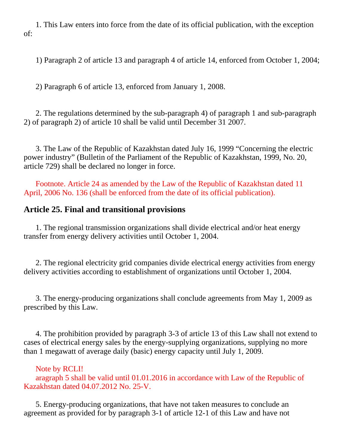1. This Law enters into force from the date of its official publication, with the exception of:

1) Paragraph 2 of article 13 and paragraph 4 of article 14, enforced from October 1, 2004;

2) Paragraph 6 of article 13, enforced from January 1, 2008.

 2. The regulations determined by the sub-paragraph 4) of paragraph 1 and sub-paragraph 2) of paragraph 2) of article 10 shall be valid until December 31 2007.

 3. The Law of the Republic of Kazakhstan dated July 16, 1999 "Concerning the electric power industry" (Bulletin of the Parliament of the Republic of Kazakhstan, 1999, No. 20, article 729) shall be declared no longer in force.

 Footnote. Article 24 as amended by the Law of the Republic of Kazakhstan dated 11 April, 2006 No. 136 (shall be enforced from the date of its official publication).

## **Article 25. Final and transitional provisions**

 1. The regional transmission organizations shall divide electrical and/or heat energy transfer from energy delivery activities until October 1, 2004.

 2. The regional electricity grid companies divide electrical energy activities from energy delivery activities according to establishment of organizations until October 1, 2004.

 3. The energy-producing organizations shall conclude agreements from May 1, 2009 as prescribed by this Law.

 4. The prohibition provided by paragraph 3-3 of article 13 of this Law shall not extend to cases of electrical energy sales by the energy-supplying organizations, supplying no more than 1 megawatt of average daily (basic) energy capacity until July 1, 2009.

Note by RCLI!

 aragraph 5 shall be valid until 01.01.2016 in accordance with Law of the Republic of Kazakhstan dated 04.07.2012 No. 25-V.

 5. Energy-producing organizations, that have not taken measures to conclude an agreement as provided for by paragraph 3-1 of article 12-1 of this Law and have not